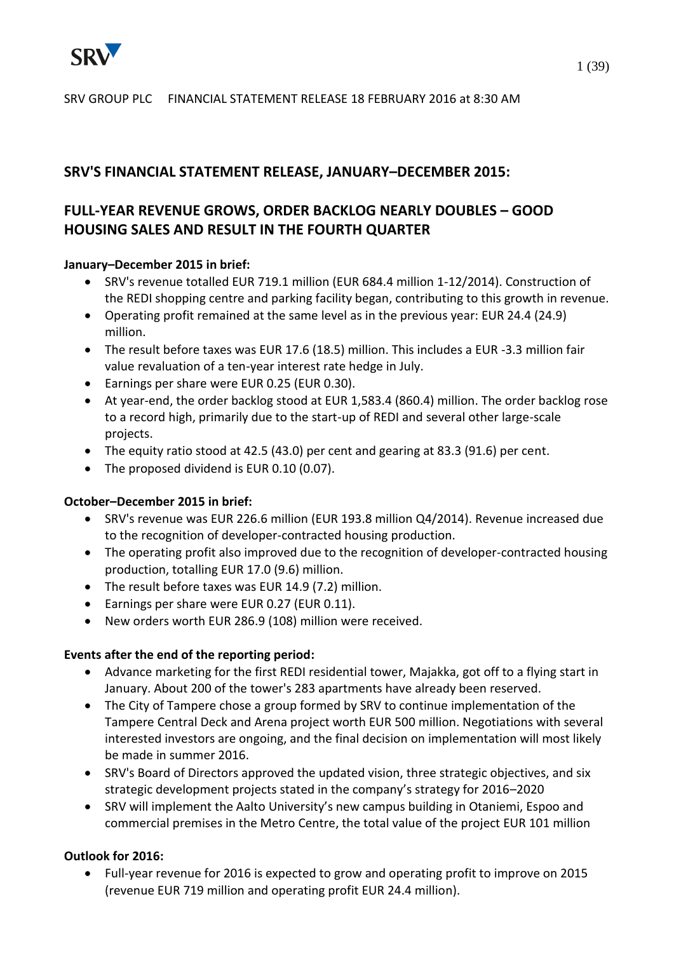

### **SRV'S FINANCIAL STATEMENT RELEASE, JANUARY–DECEMBER 2015:**

# **FULL-YEAR REVENUE GROWS, ORDER BACKLOG NEARLY DOUBLES – GOOD HOUSING SALES AND RESULT IN THE FOURTH QUARTER**

### **January–December 2015 in brief:**

- SRV's revenue totalled EUR 719.1 million (EUR 684.4 million 1-12/2014). Construction of the REDI shopping centre and parking facility began, contributing to this growth in revenue.
- Operating profit remained at the same level as in the previous year: EUR 24.4 (24.9) million.
- The result before taxes was EUR 17.6 (18.5) million. This includes a EUR -3.3 million fair value revaluation of a ten-year interest rate hedge in July.
- Earnings per share were EUR 0.25 (EUR 0.30).
- At year-end, the order backlog stood at EUR 1,583.4 (860.4) million. The order backlog rose to a record high, primarily due to the start-up of REDI and several other large-scale projects.
- The equity ratio stood at 42.5 (43.0) per cent and gearing at 83.3 (91.6) per cent.
- The proposed dividend is EUR 0.10 (0.07).

### **October–December 2015 in brief:**

- SRV's revenue was EUR 226.6 million (EUR 193.8 million Q4/2014). Revenue increased due to the recognition of developer-contracted housing production.
- The operating profit also improved due to the recognition of developer-contracted housing production, totalling EUR 17.0 (9.6) million.
- The result before taxes was EUR 14.9 (7.2) million.
- Earnings per share were EUR 0.27 (EUR 0.11).
- New orders worth EUR 286.9 (108) million were received.

### **Events after the end of the reporting period:**

- Advance marketing for the first REDI residential tower, Majakka, got off to a flying start in January. About 200 of the tower's 283 apartments have already been reserved.
- The City of Tampere chose a group formed by SRV to continue implementation of the Tampere Central Deck and Arena project worth EUR 500 million. Negotiations with several interested investors are ongoing, and the final decision on implementation will most likely be made in summer 2016.
- SRV's Board of Directors approved the updated vision, three strategic objectives, and six strategic development projects stated in the company's strategy for 2016–2020
- SRV will implement the Aalto University's new campus building in Otaniemi, Espoo and commercial premises in the Metro Centre, the total value of the project EUR 101 million

### **Outlook for 2016:**

 Full-year revenue for 2016 is expected to grow and operating profit to improve on 2015 (revenue EUR 719 million and operating profit EUR 24.4 million).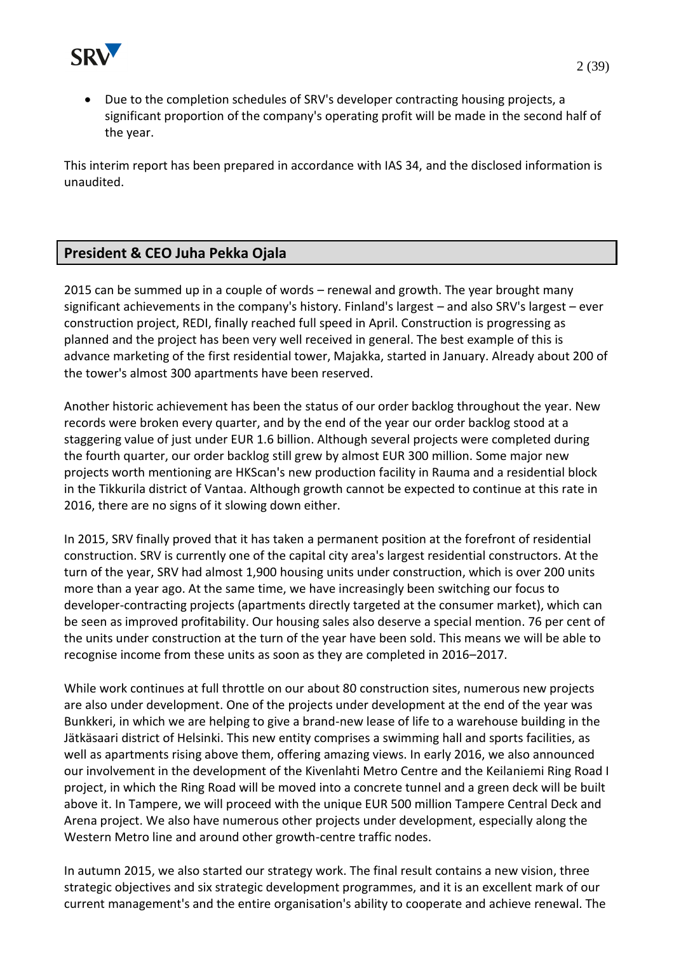

 Due to the completion schedules of SRV's developer contracting housing projects, a significant proportion of the company's operating profit will be made in the second half of the year.

This interim report has been prepared in accordance with IAS 34, and the disclosed information is unaudited.

# **President & CEO Juha Pekka Ojala**

2015 can be summed up in a couple of words – renewal and growth. The year brought many significant achievements in the company's history. Finland's largest – and also SRV's largest – ever construction project, REDI, finally reached full speed in April. Construction is progressing as planned and the project has been very well received in general. The best example of this is advance marketing of the first residential tower, Majakka, started in January. Already about 200 of the tower's almost 300 apartments have been reserved.

Another historic achievement has been the status of our order backlog throughout the year. New records were broken every quarter, and by the end of the year our order backlog stood at a staggering value of just under EUR 1.6 billion. Although several projects were completed during the fourth quarter, our order backlog still grew by almost EUR 300 million. Some major new projects worth mentioning are HKScan's new production facility in Rauma and a residential block in the Tikkurila district of Vantaa. Although growth cannot be expected to continue at this rate in 2016, there are no signs of it slowing down either.

In 2015, SRV finally proved that it has taken a permanent position at the forefront of residential construction. SRV is currently one of the capital city area's largest residential constructors. At the turn of the year, SRV had almost 1,900 housing units under construction, which is over 200 units more than a year ago. At the same time, we have increasingly been switching our focus to developer-contracting projects (apartments directly targeted at the consumer market), which can be seen as improved profitability. Our housing sales also deserve a special mention. 76 per cent of the units under construction at the turn of the year have been sold. This means we will be able to recognise income from these units as soon as they are completed in 2016–2017.

While work continues at full throttle on our about 80 construction sites, numerous new projects are also under development. One of the projects under development at the end of the year was Bunkkeri, in which we are helping to give a brand-new lease of life to a warehouse building in the Jätkäsaari district of Helsinki. This new entity comprises a swimming hall and sports facilities, as well as apartments rising above them, offering amazing views. In early 2016, we also announced our involvement in the development of the Kivenlahti Metro Centre and the Keilaniemi Ring Road I project, in which the Ring Road will be moved into a concrete tunnel and a green deck will be built above it. In Tampere, we will proceed with the unique EUR 500 million Tampere Central Deck and Arena project. We also have numerous other projects under development, especially along the Western Metro line and around other growth-centre traffic nodes.

In autumn 2015, we also started our strategy work. The final result contains a new vision, three strategic objectives and six strategic development programmes, and it is an excellent mark of our current management's and the entire organisation's ability to cooperate and achieve renewal. The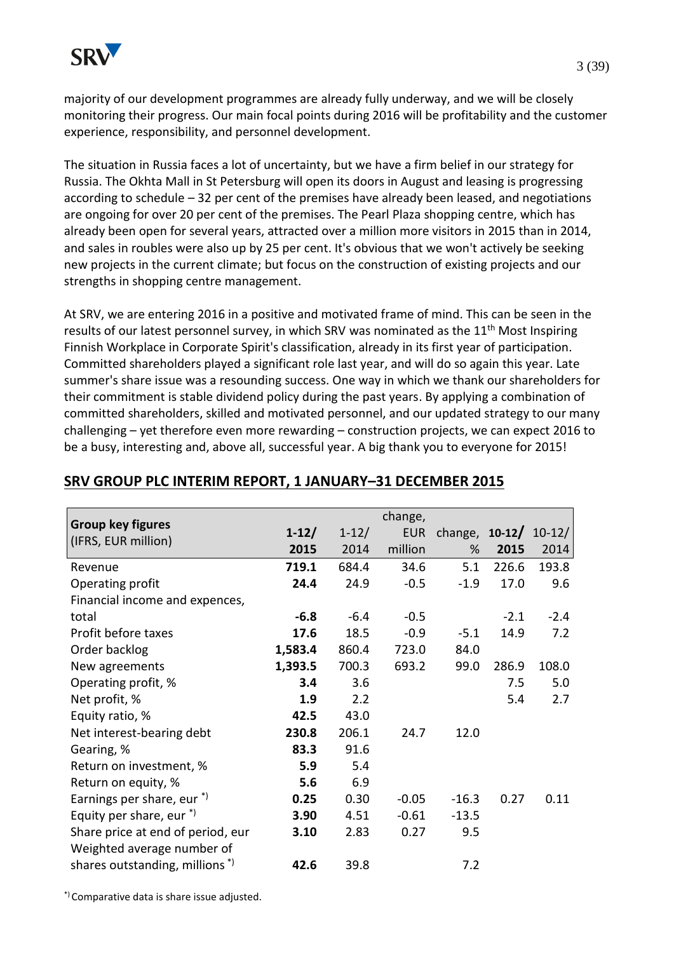majority of our development programmes are already fully underway, and we will be closely monitoring their progress. Our main focal points during 2016 will be profitability and the customer experience, responsibility, and personnel development.

The situation in Russia faces a lot of uncertainty, but we have a firm belief in our strategy for Russia. The Okhta Mall in St Petersburg will open its doors in August and leasing is progressing according to schedule – 32 per cent of the premises have already been leased, and negotiations are ongoing for over 20 per cent of the premises. The Pearl Plaza shopping centre, which has already been open for several years, attracted over a million more visitors in 2015 than in 2014, and sales in roubles were also up by 25 per cent. It's obvious that we won't actively be seeking new projects in the current climate; but focus on the construction of existing projects and our strengths in shopping centre management.

At SRV, we are entering 2016 in a positive and motivated frame of mind. This can be seen in the results of our latest personnel survey, in which SRV was nominated as the 11<sup>th</sup> Most Inspiring Finnish Workplace in Corporate Spirit's classification, already in its first year of participation. Committed shareholders played a significant role last year, and will do so again this year. Late summer's share issue was a resounding success. One way in which we thank our shareholders for their commitment is stable dividend policy during the past years. By applying a combination of committed shareholders, skilled and motivated personnel, and our updated strategy to our many challenging – yet therefore even more rewarding – construction projects, we can expect 2016 to be a busy, interesting and, above all, successful year. A big thank you to everyone for 2015!

| <b>Group key figures</b>                   |         |           | change,    |                  |        |          |
|--------------------------------------------|---------|-----------|------------|------------------|--------|----------|
| (IFRS, EUR million)                        | $1-12/$ | $1 - 12/$ | <b>EUR</b> | change, $10-12/$ |        | $10-12/$ |
|                                            | 2015    | 2014      | million    | %                | 2015   | 2014     |
| Revenue                                    | 719.1   | 684.4     | 34.6       | 5.1              | 226.6  | 193.8    |
| Operating profit                           | 24.4    | 24.9      | $-0.5$     | $-1.9$           | 17.0   | 9.6      |
| Financial income and expences,             |         |           |            |                  |        |          |
| total                                      | $-6.8$  | $-6.4$    | $-0.5$     |                  | $-2.1$ | $-2.4$   |
| Profit before taxes                        | 17.6    | 18.5      | $-0.9$     | $-5.1$           | 14.9   | 7.2      |
| Order backlog                              | 1,583.4 | 860.4     | 723.0      | 84.0             |        |          |
| New agreements                             | 1,393.5 | 700.3     | 693.2      | 99.0             | 286.9  | 108.0    |
| Operating profit, %                        | 3.4     | 3.6       |            |                  | 7.5    | 5.0      |
| Net profit, %                              | 1.9     | 2.2       |            |                  | 5.4    | 2.7      |
| Equity ratio, %                            | 42.5    | 43.0      |            |                  |        |          |
| Net interest-bearing debt                  | 230.8   | 206.1     | 24.7       | 12.0             |        |          |
| Gearing, %                                 | 83.3    | 91.6      |            |                  |        |          |
| Return on investment, %                    | 5.9     | 5.4       |            |                  |        |          |
| Return on equity, %                        | 5.6     | 6.9       |            |                  |        |          |
| Earnings per share, eur *)                 | 0.25    | 0.30      | $-0.05$    | $-16.3$          | 0.27   | 0.11     |
| Equity per share, eur $*$                  | 3.90    | 4.51      | $-0.61$    | $-13.5$          |        |          |
| Share price at end of period, eur          | 3.10    | 2.83      | 0.27       | 9.5              |        |          |
| Weighted average number of                 |         |           |            |                  |        |          |
| shares outstanding, millions <sup>*)</sup> | 42.6    | 39.8      |            | 7.2              |        |          |
|                                            |         |           |            |                  |        |          |

### **SRV GROUP PLC INTERIM REPORT, 1 JANUARY–31 DECEMBER 2015**

\*) Comparative data is share issue adjusted.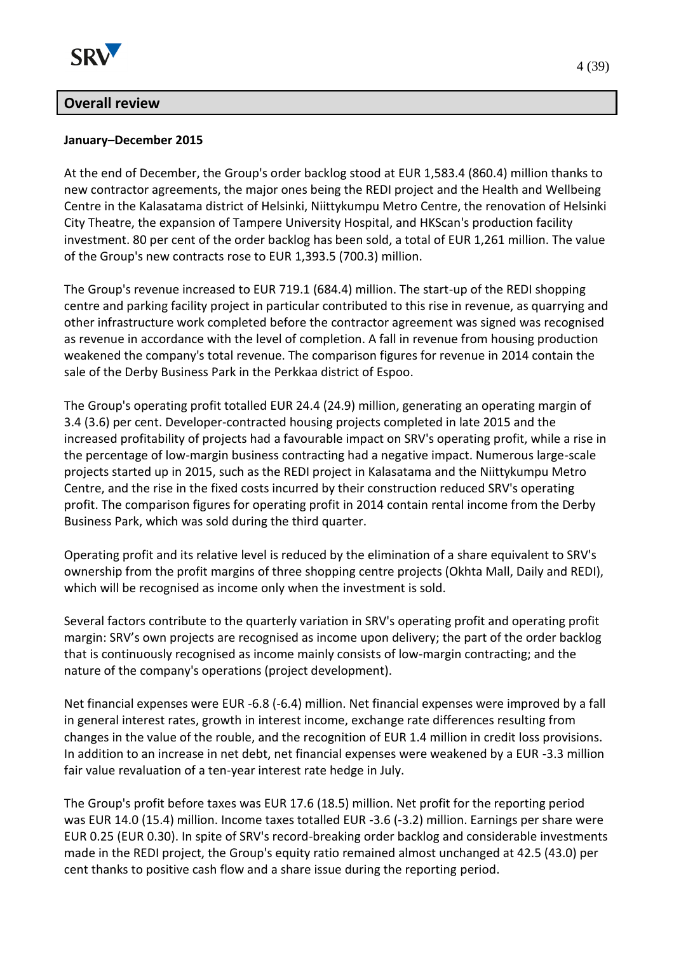

### **Overall review**

#### **January–December 2015**

At the end of December, the Group's order backlog stood at EUR 1,583.4 (860.4) million thanks to new contractor agreements, the major ones being the REDI project and the Health and Wellbeing Centre in the Kalasatama district of Helsinki, Niittykumpu Metro Centre, the renovation of Helsinki City Theatre, the expansion of Tampere University Hospital, and HKScan's production facility investment. 80 per cent of the order backlog has been sold, a total of EUR 1,261 million. The value of the Group's new contracts rose to EUR 1,393.5 (700.3) million.

The Group's revenue increased to EUR 719.1 (684.4) million. The start-up of the REDI shopping centre and parking facility project in particular contributed to this rise in revenue, as quarrying and other infrastructure work completed before the contractor agreement was signed was recognised as revenue in accordance with the level of completion. A fall in revenue from housing production weakened the company's total revenue. The comparison figures for revenue in 2014 contain the sale of the Derby Business Park in the Perkkaa district of Espoo.

The Group's operating profit totalled EUR 24.4 (24.9) million, generating an operating margin of 3.4 (3.6) per cent. Developer-contracted housing projects completed in late 2015 and the increased profitability of projects had a favourable impact on SRV's operating profit, while a rise in the percentage of low-margin business contracting had a negative impact. Numerous large-scale projects started up in 2015, such as the REDI project in Kalasatama and the Niittykumpu Metro Centre, and the rise in the fixed costs incurred by their construction reduced SRV's operating profit. The comparison figures for operating profit in 2014 contain rental income from the Derby Business Park, which was sold during the third quarter.

Operating profit and its relative level is reduced by the elimination of a share equivalent to SRV's ownership from the profit margins of three shopping centre projects (Okhta Mall, Daily and REDI), which will be recognised as income only when the investment is sold.

Several factors contribute to the quarterly variation in SRV's operating profit and operating profit margin: SRV's own projects are recognised as income upon delivery; the part of the order backlog that is continuously recognised as income mainly consists of low-margin contracting; and the nature of the company's operations (project development).

Net financial expenses were EUR -6.8 (-6.4) million. Net financial expenses were improved by a fall in general interest rates, growth in interest income, exchange rate differences resulting from changes in the value of the rouble, and the recognition of EUR 1.4 million in credit loss provisions. In addition to an increase in net debt, net financial expenses were weakened by a EUR -3.3 million fair value revaluation of a ten-year interest rate hedge in July.

The Group's profit before taxes was EUR 17.6 (18.5) million. Net profit for the reporting period was EUR 14.0 (15.4) million. Income taxes totalled EUR -3.6 (-3.2) million. Earnings per share were EUR 0.25 (EUR 0.30). In spite of SRV's record-breaking order backlog and considerable investments made in the REDI project, the Group's equity ratio remained almost unchanged at 42.5 (43.0) per cent thanks to positive cash flow and a share issue during the reporting period.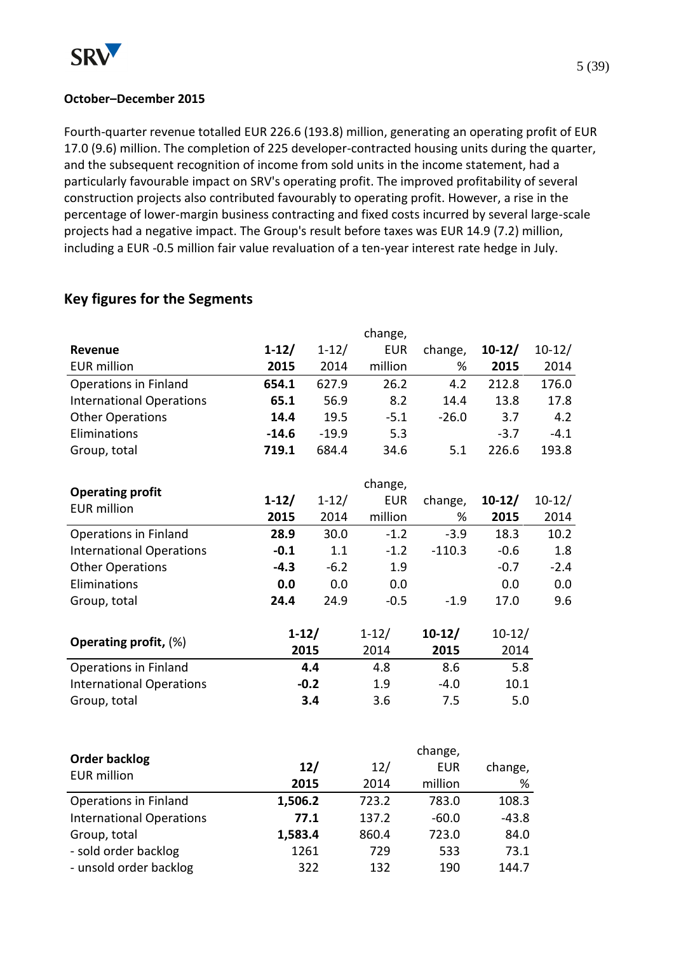

#### **October–December 2015**

Fourth-quarter revenue totalled EUR 226.6 (193.8) million, generating an operating profit of EUR 17.0 (9.6) million. The completion of 225 developer-contracted housing units during the quarter, and the subsequent recognition of income from sold units in the income statement, had a particularly favourable impact on SRV's operating profit. The improved profitability of several construction projects also contributed favourably to operating profit. However, a rise in the percentage of lower-margin business contracting and fixed costs incurred by several large-scale projects had a negative impact. The Group's result before taxes was EUR 14.9 (7.2) million, including a EUR -0.5 million fair value revaluation of a ten-year interest rate hedge in July.

# **Key figures for the Segments**

|                                 |           |               | change,     |                       |              |          |
|---------------------------------|-----------|---------------|-------------|-----------------------|--------------|----------|
| Revenue                         | $1 - 12/$ | $1 - 12/$     | <b>EUR</b>  | change,               | $10-12/$     | $10-12/$ |
| <b>EUR million</b>              | 2015      | 2014          | million     | %                     | 2015         | 2014     |
| Operations in Finland           | 654.1     | 627.9         | 26.2        | 4.2                   | 212.8        | 176.0    |
| <b>International Operations</b> | 65.1      | 56.9          | 8.2         | 14.4                  | 13.8         | 17.8     |
| <b>Other Operations</b>         | 14.4      | 19.5          | $-5.1$      | $-26.0$               | 3.7          | 4.2      |
| Eliminations                    | $-14.6$   | $-19.9$       | 5.3         |                       | $-3.7$       | $-4.1$   |
| Group, total                    | 719.1     | 684.4         | 34.6        | 5.1                   | 226.6        | 193.8    |
| <b>Operating profit</b>         |           |               | change,     |                       |              |          |
| <b>EUR million</b>              | $1 - 12/$ | $1 - 12/$     | <b>EUR</b>  | change,               | $10-12/$     | $10-12/$ |
|                                 | 2015      | 2014          | million     | %                     | 2015         | 2014     |
| <b>Operations in Finland</b>    | 28.9      | 30.0          | $-1.2$      | $-3.9$                | 18.3         | 10.2     |
| <b>International Operations</b> | $-0.1$    | 1.1           | $-1.2$      | $-110.3$              | $-0.6$       | 1.8      |
| <b>Other Operations</b>         | $-4.3$    | $-6.2$        | 1.9         |                       | $-0.7$       | $-2.4$   |
| Eliminations                    | 0.0       | 0.0           | 0.0         |                       | 0.0          | 0.0      |
| Group, total                    | 24.4      | 24.9          | $-0.5$      | $-1.9$                | 17.0         | 9.6      |
| Operating profit, (%)           | $1-12/$   |               | $1 - 12/$   | $10-12/$              | $10 - 12/$   |          |
|                                 |           | 2015          | 2014        | 2015                  | 2014         |          |
| Operations in Finland           |           | 4.4           | 4.8         | 8.6                   | 5.8          |          |
| <b>International Operations</b> |           | $-0.2$        | 1.9         | $-4.0$                | 10.1         |          |
| Group, total                    |           | 3.4           | 3.6         | 7.5                   | 5.0          |          |
|                                 |           |               |             |                       |              |          |
| <b>Order backlog</b>            |           |               |             | change,<br><b>EUR</b> |              |          |
| <b>EUR million</b>              |           | $12/$<br>2015 | 12/<br>2014 | million               | change,<br>% |          |
| <b>Operations in Finland</b>    | 1,506.2   |               | 723.2       | 783.0                 | 108.3        |          |
| <b>International Operations</b> |           | 77.1          | 137.2       | $-60.0$               | $-43.8$      |          |
| Group, total                    | 1,583.4   |               | 860.4       | 723.0                 | 84.0         |          |
| - sold order backlog            | 1261      |               | 729         | 533                   | 73.1         |          |
| - unsold order backlog          |           | 322           | 132         | 190                   | 144.7        |          |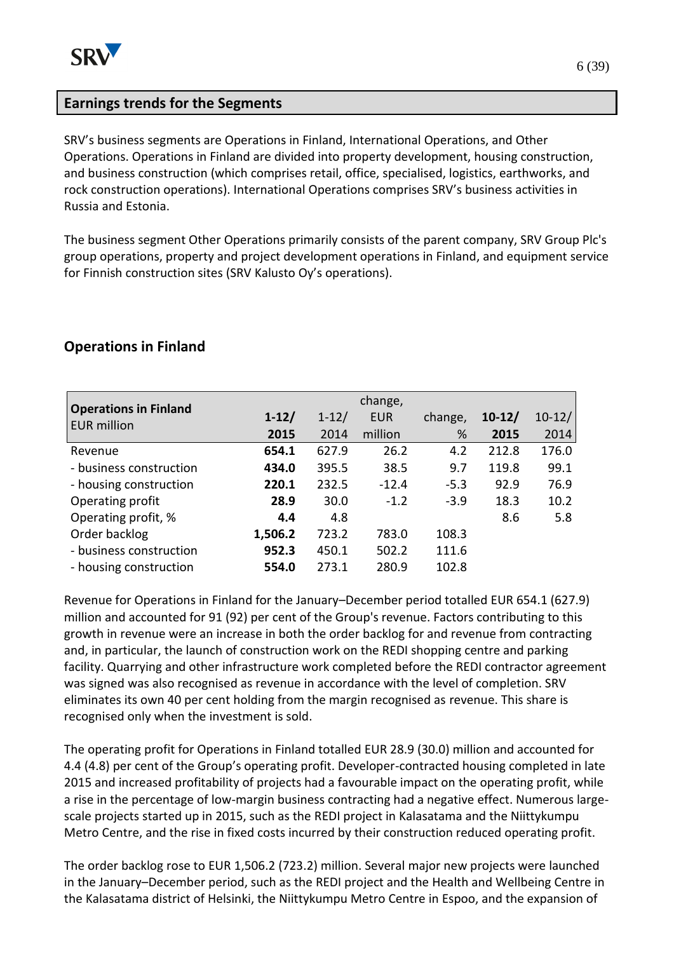# **Earnings trends for the Segments**

SRV's business segments are Operations in Finland, International Operations, and Other Operations. Operations in Finland are divided into property development, housing construction, and business construction (which comprises retail, office, specialised, logistics, earthworks, and rock construction operations). International Operations comprises SRV's business activities in Russia and Estonia.

The business segment Other Operations primarily consists of the parent company, SRV Group Plc's group operations, property and project development operations in Finland, and equipment service for Finnish construction sites (SRV Kalusto Oy's operations).

### **Operations in Finland**

|                                                    | change, |           |            |         |          |          |
|----------------------------------------------------|---------|-----------|------------|---------|----------|----------|
| <b>Operations in Finland</b><br><b>EUR million</b> | $1-12/$ | $1 - 12/$ | <b>EUR</b> | change, | $10-12/$ | $10-12/$ |
|                                                    | 2015    | 2014      | million    | $\%$    | 2015     | 2014     |
| Revenue                                            | 654.1   | 627.9     | 26.2       | 4.2     | 212.8    | 176.0    |
| - business construction                            | 434.0   | 395.5     | 38.5       | 9.7     | 119.8    | 99.1     |
| - housing construction                             | 220.1   | 232.5     | $-12.4$    | $-5.3$  | 92.9     | 76.9     |
| Operating profit                                   | 28.9    | 30.0      | $-1.2$     | $-3.9$  | 18.3     | 10.2     |
| Operating profit, %                                | 4.4     | 4.8       |            |         | 8.6      | 5.8      |
| Order backlog                                      | 1,506.2 | 723.2     | 783.0      | 108.3   |          |          |
| - business construction                            | 952.3   | 450.1     | 502.2      | 111.6   |          |          |
| - housing construction                             | 554.0   | 273.1     | 280.9      | 102.8   |          |          |

Revenue for Operations in Finland for the January–December period totalled EUR 654.1 (627.9) million and accounted for 91 (92) per cent of the Group's revenue. Factors contributing to this growth in revenue were an increase in both the order backlog for and revenue from contracting and, in particular, the launch of construction work on the REDI shopping centre and parking facility. Quarrying and other infrastructure work completed before the REDI contractor agreement was signed was also recognised as revenue in accordance with the level of completion. SRV eliminates its own 40 per cent holding from the margin recognised as revenue. This share is recognised only when the investment is sold.

The operating profit for Operations in Finland totalled EUR 28.9 (30.0) million and accounted for 4.4 (4.8) per cent of the Group's operating profit. Developer-contracted housing completed in late 2015 and increased profitability of projects had a favourable impact on the operating profit, while a rise in the percentage of low-margin business contracting had a negative effect. Numerous largescale projects started up in 2015, such as the REDI project in Kalasatama and the Niittykumpu Metro Centre, and the rise in fixed costs incurred by their construction reduced operating profit.

The order backlog rose to EUR 1,506.2 (723.2) million. Several major new projects were launched in the January–December period, such as the REDI project and the Health and Wellbeing Centre in the Kalasatama district of Helsinki, the Niittykumpu Metro Centre in Espoo, and the expansion of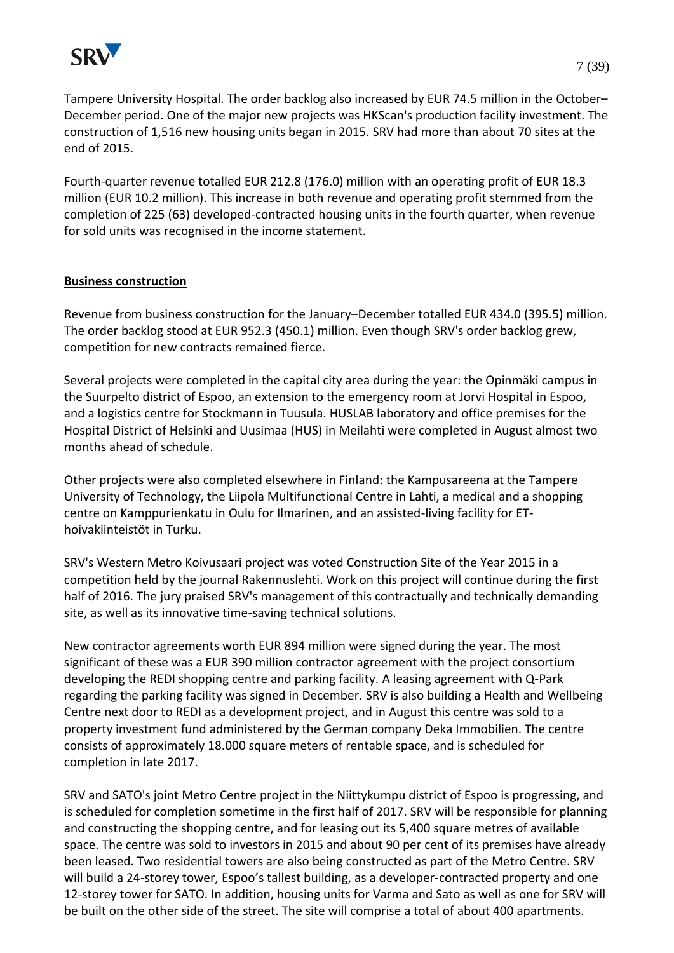

Tampere University Hospital. The order backlog also increased by EUR 74.5 million in the October–

December period. One of the major new projects was HKScan's production facility investment. The construction of 1,516 new housing units began in 2015. SRV had more than about 70 sites at the end of 2015.

Fourth-quarter revenue totalled EUR 212.8 (176.0) million with an operating profit of EUR 18.3 million (EUR 10.2 million). This increase in both revenue and operating profit stemmed from the completion of 225 (63) developed-contracted housing units in the fourth quarter, when revenue for sold units was recognised in the income statement.

### **Business construction**

Revenue from business construction for the January–December totalled EUR 434.0 (395.5) million. The order backlog stood at EUR 952.3 (450.1) million. Even though SRV's order backlog grew, competition for new contracts remained fierce.

Several projects were completed in the capital city area during the year: the Opinmäki campus in the Suurpelto district of Espoo, an extension to the emergency room at Jorvi Hospital in Espoo, and a logistics centre for Stockmann in Tuusula. HUSLAB laboratory and office premises for the Hospital District of Helsinki and Uusimaa (HUS) in Meilahti were completed in August almost two months ahead of schedule.

Other projects were also completed elsewhere in Finland: the Kampusareena at the Tampere University of Technology, the Liipola Multifunctional Centre in Lahti, a medical and a shopping centre on Kamppurienkatu in Oulu for Ilmarinen, and an assisted-living facility for EThoivakiinteistöt in Turku.

SRV's Western Metro Koivusaari project was voted Construction Site of the Year 2015 in a competition held by the journal Rakennuslehti. Work on this project will continue during the first half of 2016. The jury praised SRV's management of this contractually and technically demanding site, as well as its innovative time-saving technical solutions.

New contractor agreements worth EUR 894 million were signed during the year. The most significant of these was a EUR 390 million contractor agreement with the project consortium developing the REDI shopping centre and parking facility. A leasing agreement with Q-Park regarding the parking facility was signed in December. SRV is also building a Health and Wellbeing Centre next door to REDI as a development project, and in August this centre was sold to a property investment fund administered by the German company Deka Immobilien. The centre consists of approximately 18.000 square meters of rentable space, and is scheduled for completion in late 2017.

SRV and SATO's joint Metro Centre project in the Niittykumpu district of Espoo is progressing, and is scheduled for completion sometime in the first half of 2017. SRV will be responsible for planning and constructing the shopping centre, and for leasing out its 5,400 square metres of available space. The centre was sold to investors in 2015 and about 90 per cent of its premises have already been leased. Two residential towers are also being constructed as part of the Metro Centre. SRV will build a 24-storey tower, Espoo's tallest building, as a developer-contracted property and one 12-storey tower for SATO. In addition, housing units for Varma and Sato as well as one for SRV will be built on the other side of the street. The site will comprise a total of about 400 apartments.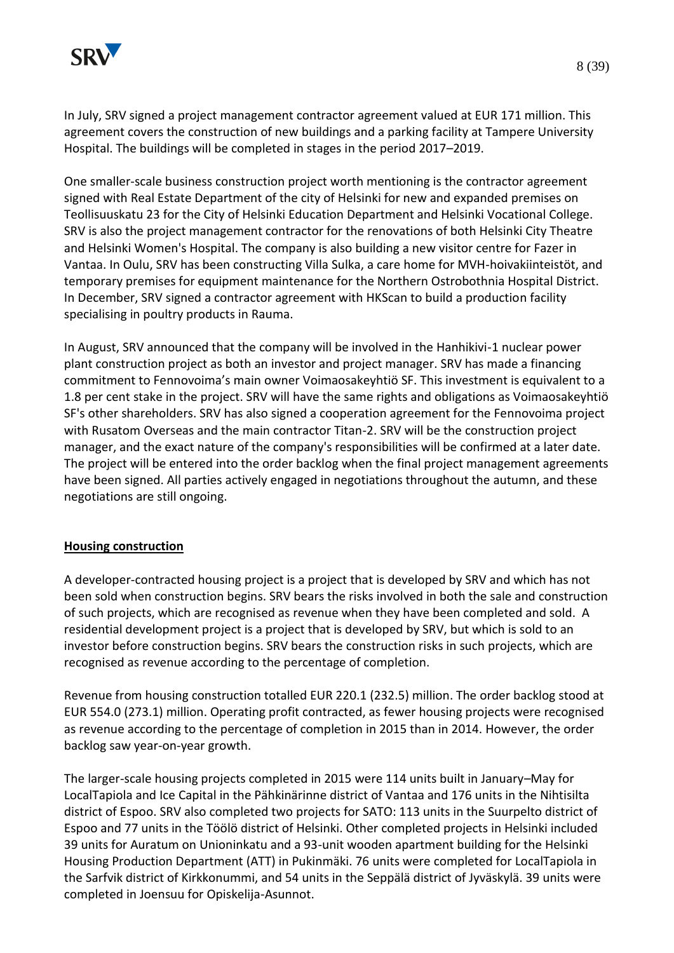

In July, SRV signed a project management contractor agreement valued at EUR 171 million. This agreement covers the construction of new buildings and a parking facility at Tampere University Hospital. The buildings will be completed in stages in the period 2017–2019.

One smaller-scale business construction project worth mentioning is the contractor agreement signed with Real Estate Department of the city of Helsinki for new and expanded premises on Teollisuuskatu 23 for the City of Helsinki Education Department and Helsinki Vocational College. SRV is also the project management contractor for the renovations of both Helsinki City Theatre and Helsinki Women's Hospital. The company is also building a new visitor centre for Fazer in Vantaa. In Oulu, SRV has been constructing Villa Sulka, a care home for MVH-hoivakiinteistöt, and temporary premises for equipment maintenance for the Northern Ostrobothnia Hospital District. In December, SRV signed a contractor agreement with HKScan to build a production facility specialising in poultry products in Rauma.

In August, SRV announced that the company will be involved in the Hanhikivi-1 nuclear power plant construction project as both an investor and project manager. SRV has made a financing commitment to Fennovoima's main owner Voimaosakeyhtiö SF. This investment is equivalent to a 1.8 per cent stake in the project. SRV will have the same rights and obligations as Voimaosakeyhtiö SF's other shareholders. SRV has also signed a cooperation agreement for the Fennovoima project with Rusatom Overseas and the main contractor Titan-2. SRV will be the construction project manager, and the exact nature of the company's responsibilities will be confirmed at a later date. The project will be entered into the order backlog when the final project management agreements have been signed. All parties actively engaged in negotiations throughout the autumn, and these negotiations are still ongoing.

#### **Housing construction**

A developer-contracted housing project is a project that is developed by SRV and which has not been sold when construction begins. SRV bears the risks involved in both the sale and construction of such projects, which are recognised as revenue when they have been completed and sold. A residential development project is a project that is developed by SRV, but which is sold to an investor before construction begins. SRV bears the construction risks in such projects, which are recognised as revenue according to the percentage of completion.

Revenue from housing construction totalled EUR 220.1 (232.5) million. The order backlog stood at EUR 554.0 (273.1) million. Operating profit contracted, as fewer housing projects were recognised as revenue according to the percentage of completion in 2015 than in 2014. However, the order backlog saw year-on-year growth.

The larger-scale housing projects completed in 2015 were 114 units built in January–May for LocalTapiola and Ice Capital in the Pähkinärinne district of Vantaa and 176 units in the Nihtisilta district of Espoo. SRV also completed two projects for SATO: 113 units in the Suurpelto district of Espoo and 77 units in the Töölö district of Helsinki. Other completed projects in Helsinki included 39 units for Auratum on Unioninkatu and a 93-unit wooden apartment building for the Helsinki Housing Production Department (ATT) in Pukinmäki. 76 units were completed for LocalTapiola in the Sarfvik district of Kirkkonummi, and 54 units in the Seppälä district of Jyväskylä. 39 units were completed in Joensuu for Opiskelija-Asunnot.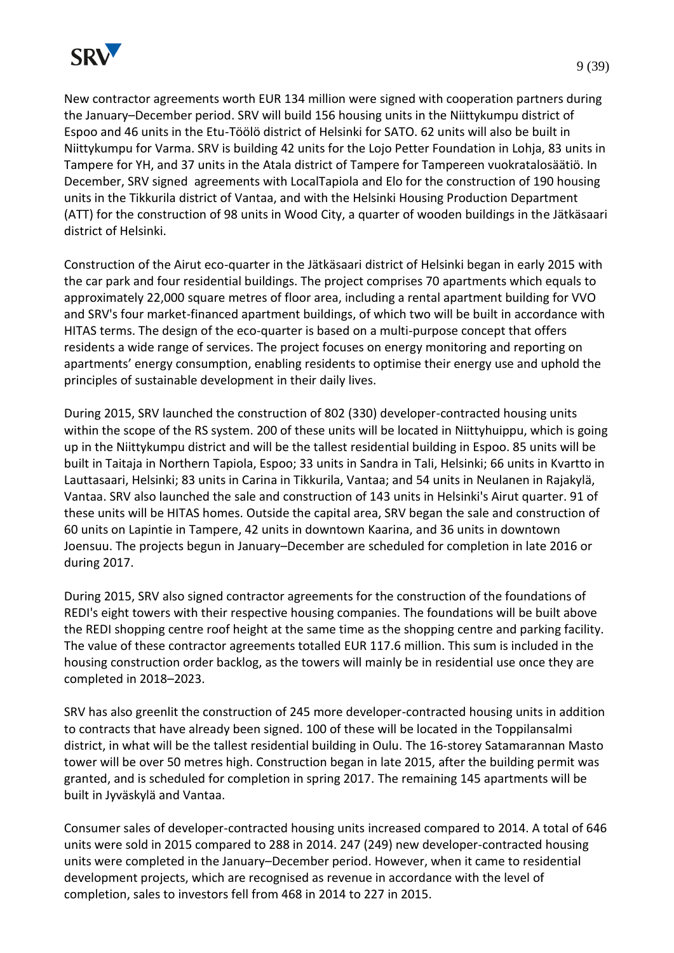

New contractor agreements worth EUR 134 million were signed with cooperation partners during the January–December period. SRV will build 156 housing units in the Niittykumpu district of Espoo and 46 units in the Etu-Töölö district of Helsinki for SATO. 62 units will also be built in Niittykumpu for Varma. SRV is building 42 units for the Lojo Petter Foundation in Lohja, 83 units in Tampere for YH, and 37 units in the Atala district of Tampere for Tampereen vuokratalosäätiö. In December, SRV signed agreements with LocalTapiola and Elo for the construction of 190 housing units in the Tikkurila district of Vantaa, and with the Helsinki Housing Production Department (ATT) for the construction of 98 units in Wood City, a quarter of wooden buildings in the Jätkäsaari district of Helsinki.

Construction of the Airut eco-quarter in the Jätkäsaari district of Helsinki began in early 2015 with the car park and four residential buildings. The project comprises 70 apartments which equals to approximately 22,000 square metres of floor area, including a rental apartment building for VVO and SRV's four market-financed apartment buildings, of which two will be built in accordance with HITAS terms. The design of the eco-quarter is based on a multi-purpose concept that offers residents a wide range of services. The project focuses on energy monitoring and reporting on apartments' energy consumption, enabling residents to optimise their energy use and uphold the principles of sustainable development in their daily lives.

During 2015, SRV launched the construction of 802 (330) developer-contracted housing units within the scope of the RS system. 200 of these units will be located in Niittyhuippu, which is going up in the Niittykumpu district and will be the tallest residential building in Espoo. 85 units will be built in Taitaja in Northern Tapiola, Espoo; 33 units in Sandra in Tali, Helsinki; 66 units in Kvartto in Lauttasaari, Helsinki; 83 units in Carina in Tikkurila, Vantaa; and 54 units in Neulanen in Rajakylä, Vantaa. SRV also launched the sale and construction of 143 units in Helsinki's Airut quarter. 91 of these units will be HITAS homes. Outside the capital area, SRV began the sale and construction of 60 units on Lapintie in Tampere, 42 units in downtown Kaarina, and 36 units in downtown Joensuu. The projects begun in January–December are scheduled for completion in late 2016 or during 2017.

During 2015, SRV also signed contractor agreements for the construction of the foundations of REDI's eight towers with their respective housing companies. The foundations will be built above the REDI shopping centre roof height at the same time as the shopping centre and parking facility. The value of these contractor agreements totalled EUR 117.6 million. This sum is included in the housing construction order backlog, as the towers will mainly be in residential use once they are completed in 2018–2023.

SRV has also greenlit the construction of 245 more developer-contracted housing units in addition to contracts that have already been signed. 100 of these will be located in the Toppilansalmi district, in what will be the tallest residential building in Oulu. The 16-storey Satamarannan Masto tower will be over 50 metres high. Construction began in late 2015, after the building permit was granted, and is scheduled for completion in spring 2017. The remaining 145 apartments will be built in Jyväskylä and Vantaa.

Consumer sales of developer-contracted housing units increased compared to 2014. A total of 646 units were sold in 2015 compared to 288 in 2014. 247 (249) new developer-contracted housing units were completed in the January–December period. However, when it came to residential development projects, which are recognised as revenue in accordance with the level of completion, sales to investors fell from 468 in 2014 to 227 in 2015.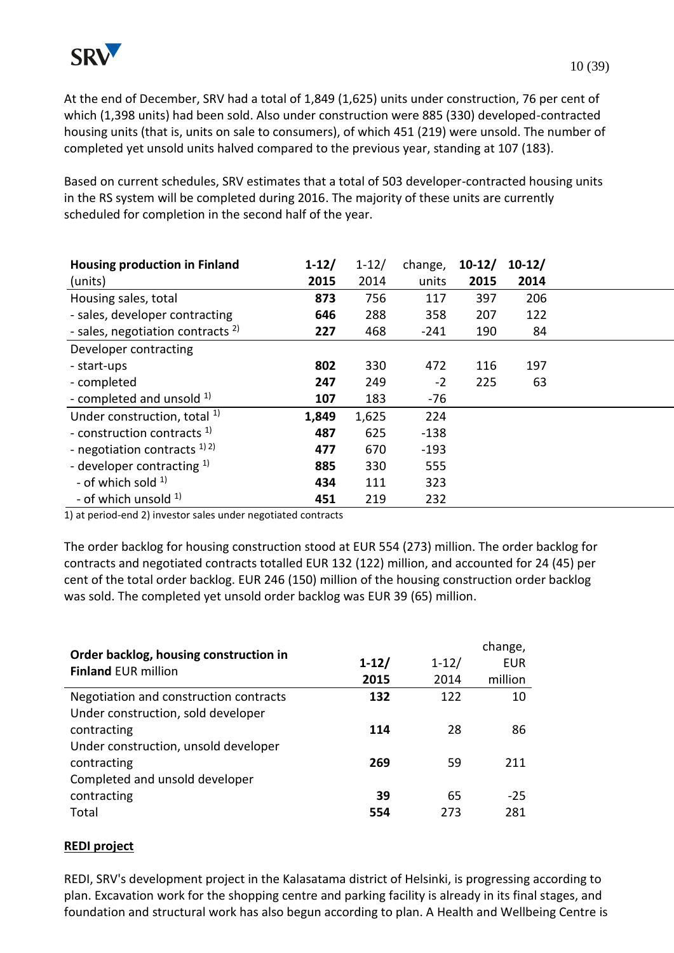At the end of December, SRV had a total of 1,849 (1,625) units under construction, 76 per cent of which (1,398 units) had been sold. Also under construction were 885 (330) developed-contracted housing units (that is, units on sale to consumers), of which 451 (219) were unsold. The number of completed yet unsold units halved compared to the previous year, standing at 107 (183).

Based on current schedules, SRV estimates that a total of 503 developer-contracted housing units in the RS system will be completed during 2016. The majority of these units are currently scheduled for completion in the second half of the year.

| <b>Housing production in Finland</b>         | $1-12/$ | $1 - 12/$ | change, | $10-12/$ | $10-12/$ |  |
|----------------------------------------------|---------|-----------|---------|----------|----------|--|
| (units)                                      | 2015    | 2014      | units   | 2015     | 2014     |  |
| Housing sales, total                         | 873     | 756       | 117     | 397      | 206      |  |
| - sales, developer contracting               | 646     | 288       | 358     | 207      | 122      |  |
| - sales, negotiation contracts <sup>2)</sup> | 227     | 468       | $-241$  | 190      | 84       |  |
| Developer contracting                        |         |           |         |          |          |  |
| - start-ups                                  | 802     | 330       | 472     | 116      | 197      |  |
| - completed                                  | 247     | 249       | $-2$    | 225      | 63       |  |
| - completed and unsold <sup>1)</sup>         | 107     | 183       | $-76$   |          |          |  |
| Under construction, total <sup>1)</sup>      | 1,849   | 1,625     | 224     |          |          |  |
| - construction contracts <sup>1)</sup>       | 487     | 625       | $-138$  |          |          |  |
| - negotiation contracts $^{1/2}$             | 477     | 670       | $-193$  |          |          |  |
| - developer contracting $1$ )                | 885     | 330       | 555     |          |          |  |
| - of which sold $1$                          | 434     | 111       | 323     |          |          |  |
| - of which unsold $1$ )                      | 451     | 219       | 232     |          |          |  |

1) at period-end 2) investor sales under negotiated contracts

The order backlog for housing construction stood at EUR 554 (273) million. The order backlog for contracts and negotiated contracts totalled EUR 132 (122) million, and accounted for 24 (45) per cent of the total order backlog. EUR 246 (150) million of the housing construction order backlog was sold. The completed yet unsold order backlog was EUR 39 (65) million.

| Order backlog, housing construction in |           |           | change,    |
|----------------------------------------|-----------|-----------|------------|
| <b>Finland EUR million</b>             | $1 - 12/$ | $1 - 12/$ | <b>EUR</b> |
|                                        | 2015      | 2014      | million    |
| Negotiation and construction contracts | 132       | 122       | 10         |
| Under construction, sold developer     |           |           |            |
| contracting                            | 114       | 28        | 86         |
| Under construction, unsold developer   |           |           |            |
| contracting                            | 269       | 59        | 211        |
| Completed and unsold developer         |           |           |            |
| contracting                            | 39        | 65        | $-25$      |
| Total                                  | 554       | 273       | 281        |

#### **REDI project**

REDI, SRV's development project in the Kalasatama district of Helsinki, is progressing according to plan. Excavation work for the shopping centre and parking facility is already in its final stages, and foundation and structural work has also begun according to plan. A Health and Wellbeing Centre is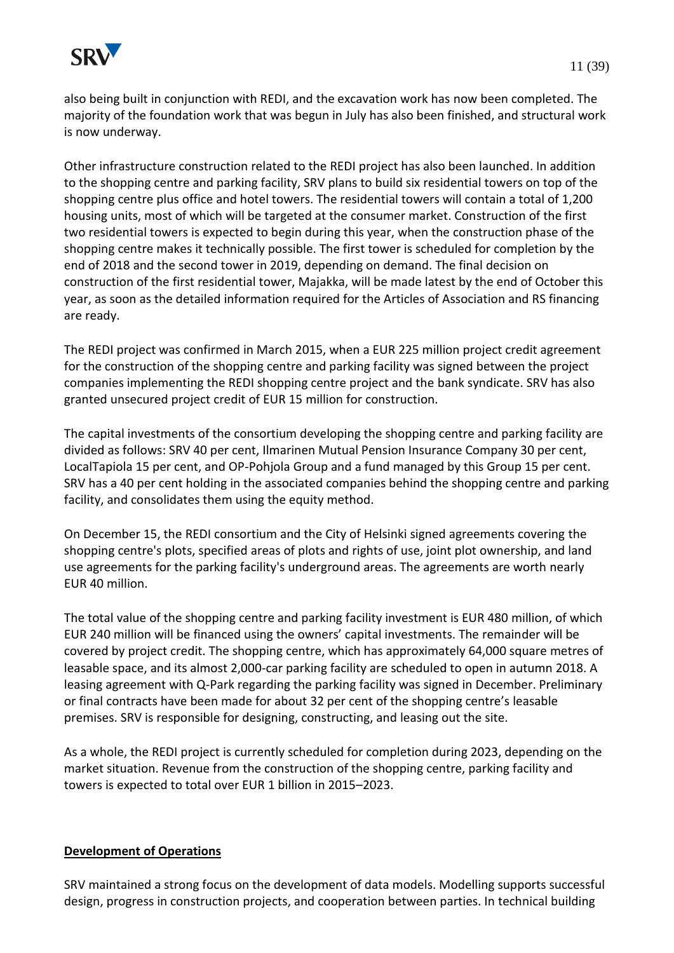

also being built in conjunction with REDI, and the excavation work has now been completed. The majority of the foundation work that was begun in July has also been finished, and structural work is now underway.

Other infrastructure construction related to the REDI project has also been launched. In addition to the shopping centre and parking facility, SRV plans to build six residential towers on top of the shopping centre plus office and hotel towers. The residential towers will contain a total of 1,200 housing units, most of which will be targeted at the consumer market. Construction of the first two residential towers is expected to begin during this year, when the construction phase of the shopping centre makes it technically possible. The first tower is scheduled for completion by the end of 2018 and the second tower in 2019, depending on demand. The final decision on construction of the first residential tower, Majakka, will be made latest by the end of October this year, as soon as the detailed information required for the Articles of Association and RS financing are ready.

The REDI project was confirmed in March 2015, when a EUR 225 million project credit agreement for the construction of the shopping centre and parking facility was signed between the project companies implementing the REDI shopping centre project and the bank syndicate. SRV has also granted unsecured project credit of EUR 15 million for construction.

The capital investments of the consortium developing the shopping centre and parking facility are divided as follows: SRV 40 per cent, Ilmarinen Mutual Pension Insurance Company 30 per cent, LocalTapiola 15 per cent, and OP-Pohjola Group and a fund managed by this Group 15 per cent. SRV has a 40 per cent holding in the associated companies behind the shopping centre and parking facility, and consolidates them using the equity method.

On December 15, the REDI consortium and the City of Helsinki signed agreements covering the shopping centre's plots, specified areas of plots and rights of use, joint plot ownership, and land use agreements for the parking facility's underground areas. The agreements are worth nearly EUR 40 million.

The total value of the shopping centre and parking facility investment is EUR 480 million, of which EUR 240 million will be financed using the owners' capital investments. The remainder will be covered by project credit. The shopping centre, which has approximately 64,000 square metres of leasable space, and its almost 2,000-car parking facility are scheduled to open in autumn 2018. A leasing agreement with Q-Park regarding the parking facility was signed in December. Preliminary or final contracts have been made for about 32 per cent of the shopping centre's leasable premises. SRV is responsible for designing, constructing, and leasing out the site.

As a whole, the REDI project is currently scheduled for completion during 2023, depending on the market situation. Revenue from the construction of the shopping centre, parking facility and towers is expected to total over EUR 1 billion in 2015–2023.

#### **Development of Operations**

SRV maintained a strong focus on the development of data models. Modelling supports successful design, progress in construction projects, and cooperation between parties. In technical building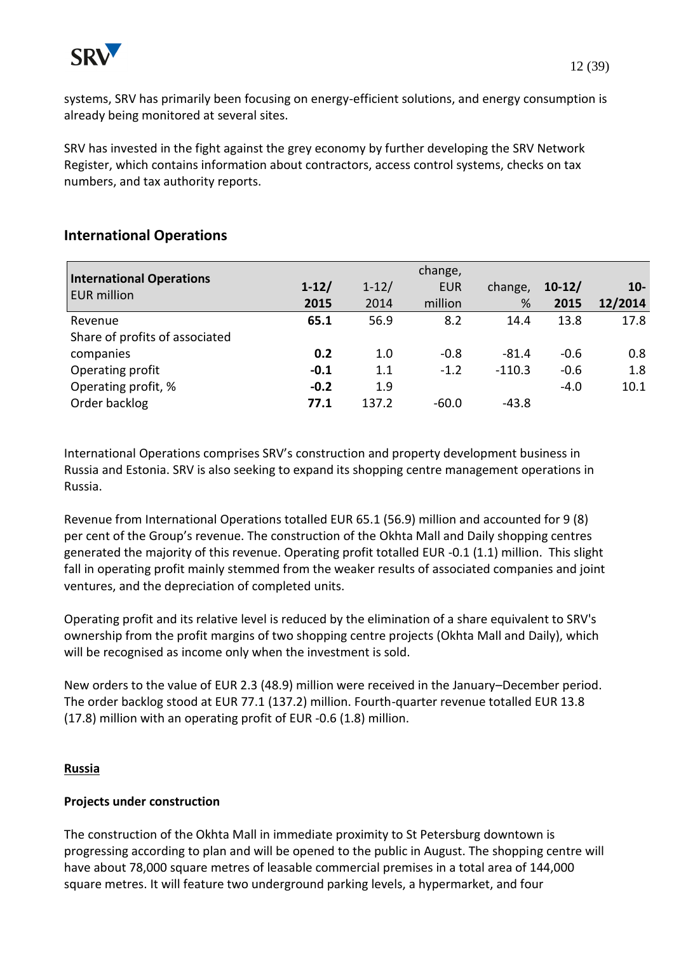

systems, SRV has primarily been focusing on energy-efficient solutions, and energy consumption is already being monitored at several sites.

SRV has invested in the fight against the grey economy by further developing the SRV Network Register, which contains information about contractors, access control systems, checks on tax numbers, and tax authority reports.

### **International Operations**

| <b>International Operations</b><br><b>EUR million</b> | $1 - 12/$<br>2015 | $1 - 12/$<br>2014 | change,<br><b>EUR</b><br>million | change,<br>% | $10-12/$<br>2015 | $10-$<br>12/2014 |
|-------------------------------------------------------|-------------------|-------------------|----------------------------------|--------------|------------------|------------------|
| Revenue                                               | 65.1              | 56.9              | 8.2                              | 14.4         | 13.8             | 17.8             |
| Share of profits of associated                        |                   |                   |                                  |              |                  |                  |
| companies                                             | 0.2               | 1.0               | $-0.8$                           | $-81.4$      | $-0.6$           | 0.8              |
| Operating profit                                      | $-0.1$            | 1.1               | $-1.2$                           | $-110.3$     | $-0.6$           | 1.8              |
| Operating profit, %                                   | $-0.2$            | 1.9               |                                  |              | $-4.0$           | 10.1             |
| Order backlog                                         | 77.1              | 137.2             | $-60.0$                          | $-43.8$      |                  |                  |

International Operations comprises SRV's construction and property development business in Russia and Estonia. SRV is also seeking to expand its shopping centre management operations in Russia.

Revenue from International Operations totalled EUR 65.1 (56.9) million and accounted for 9 (8) per cent of the Group's revenue. The construction of the Okhta Mall and Daily shopping centres generated the majority of this revenue. Operating profit totalled EUR -0.1 (1.1) million. This slight fall in operating profit mainly stemmed from the weaker results of associated companies and joint ventures, and the depreciation of completed units.

Operating profit and its relative level is reduced by the elimination of a share equivalent to SRV's ownership from the profit margins of two shopping centre projects (Okhta Mall and Daily), which will be recognised as income only when the investment is sold.

New orders to the value of EUR 2.3 (48.9) million were received in the January–December period. The order backlog stood at EUR 77.1 (137.2) million. Fourth-quarter revenue totalled EUR 13.8 (17.8) million with an operating profit of EUR -0.6 (1.8) million.

#### **Russia**

### **Projects under construction**

The construction of the Okhta Mall in immediate proximity to St Petersburg downtown is progressing according to plan and will be opened to the public in August. The shopping centre will have about 78,000 square metres of leasable commercial premises in a total area of 144,000 square metres. It will feature two underground parking levels, a hypermarket, and four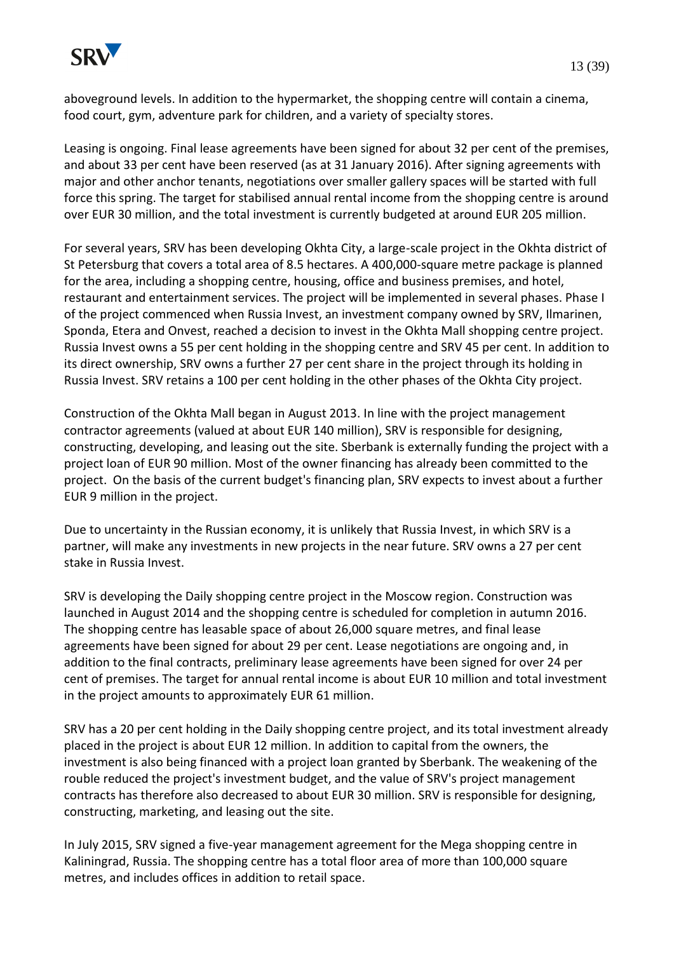

aboveground levels. In addition to the hypermarket, the shopping centre will contain a cinema, food court, gym, adventure park for children, and a variety of specialty stores.

Leasing is ongoing. Final lease agreements have been signed for about 32 per cent of the premises, and about 33 per cent have been reserved (as at 31 January 2016). After signing agreements with major and other anchor tenants, negotiations over smaller gallery spaces will be started with full force this spring. The target for stabilised annual rental income from the shopping centre is around over EUR 30 million, and the total investment is currently budgeted at around EUR 205 million.

For several years, SRV has been developing Okhta City, a large-scale project in the Okhta district of St Petersburg that covers a total area of 8.5 hectares. A 400,000-square metre package is planned for the area, including a shopping centre, housing, office and business premises, and hotel, restaurant and entertainment services. The project will be implemented in several phases. Phase I of the project commenced when Russia Invest, an investment company owned by SRV, Ilmarinen, Sponda, Etera and Onvest, reached a decision to invest in the Okhta Mall shopping centre project. Russia Invest owns a 55 per cent holding in the shopping centre and SRV 45 per cent. In addition to its direct ownership, SRV owns a further 27 per cent share in the project through its holding in Russia Invest. SRV retains a 100 per cent holding in the other phases of the Okhta City project.

Construction of the Okhta Mall began in August 2013. In line with the project management contractor agreements (valued at about EUR 140 million), SRV is responsible for designing, constructing, developing, and leasing out the site. Sberbank is externally funding the project with a project loan of EUR 90 million. Most of the owner financing has already been committed to the project. On the basis of the current budget's financing plan, SRV expects to invest about a further EUR 9 million in the project.

Due to uncertainty in the Russian economy, it is unlikely that Russia Invest, in which SRV is a partner, will make any investments in new projects in the near future. SRV owns a 27 per cent stake in Russia Invest.

SRV is developing the Daily shopping centre project in the Moscow region. Construction was launched in August 2014 and the shopping centre is scheduled for completion in autumn 2016. The shopping centre has leasable space of about 26,000 square metres, and final lease agreements have been signed for about 29 per cent. Lease negotiations are ongoing and, in addition to the final contracts, preliminary lease agreements have been signed for over 24 per cent of premises. The target for annual rental income is about EUR 10 million and total investment in the project amounts to approximately EUR 61 million.

SRV has a 20 per cent holding in the Daily shopping centre project, and its total investment already placed in the project is about EUR 12 million. In addition to capital from the owners, the investment is also being financed with a project loan granted by Sberbank. The weakening of the rouble reduced the project's investment budget, and the value of SRV's project management contracts has therefore also decreased to about EUR 30 million. SRV is responsible for designing, constructing, marketing, and leasing out the site.

In July 2015, SRV signed a five-year management agreement for the Mega shopping centre in Kaliningrad, Russia. The shopping centre has a total floor area of more than 100,000 square metres, and includes offices in addition to retail space.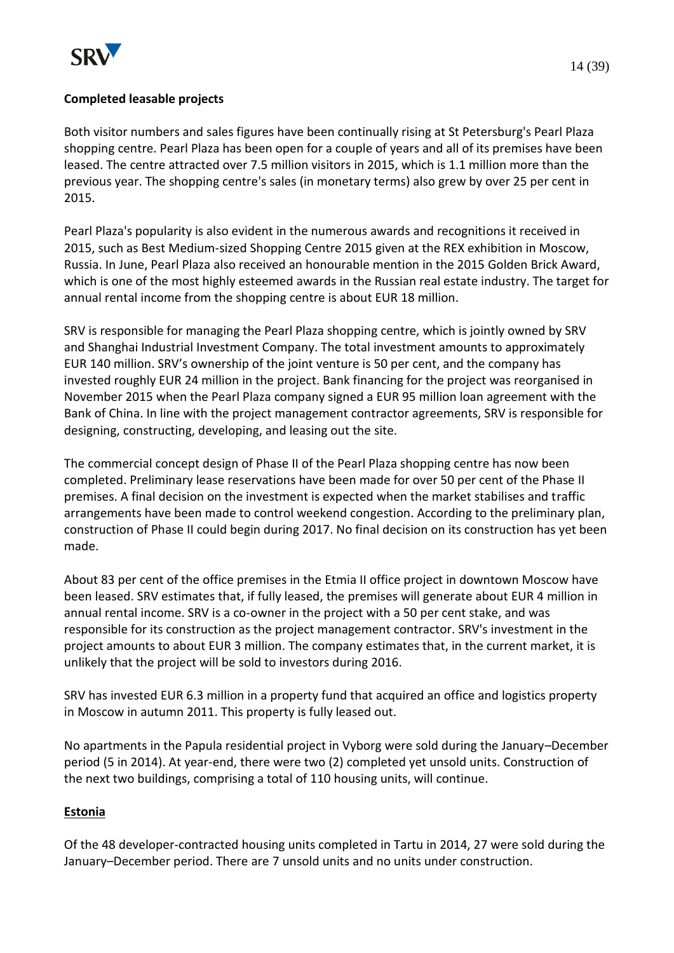

### **Completed leasable projects**

Both visitor numbers and sales figures have been continually rising at St Petersburg's Pearl Plaza shopping centre. Pearl Plaza has been open for a couple of years and all of its premises have been leased. The centre attracted over 7.5 million visitors in 2015, which is 1.1 million more than the previous year. The shopping centre's sales (in monetary terms) also grew by over 25 per cent in 2015.

Pearl Plaza's popularity is also evident in the numerous awards and recognitions it received in 2015, such as Best Medium-sized Shopping Centre 2015 given at the REX exhibition in Moscow, Russia. In June, Pearl Plaza also received an honourable mention in the 2015 Golden Brick Award, which is one of the most highly esteemed awards in the Russian real estate industry. The target for annual rental income from the shopping centre is about EUR 18 million.

SRV is responsible for managing the Pearl Plaza shopping centre, which is jointly owned by SRV and Shanghai Industrial Investment Company. The total investment amounts to approximately EUR 140 million. SRV's ownership of the joint venture is 50 per cent, and the company has invested roughly EUR 24 million in the project. Bank financing for the project was reorganised in November 2015 when the Pearl Plaza company signed a EUR 95 million loan agreement with the Bank of China. In line with the project management contractor agreements, SRV is responsible for designing, constructing, developing, and leasing out the site.

The commercial concept design of Phase II of the Pearl Plaza shopping centre has now been completed. Preliminary lease reservations have been made for over 50 per cent of the Phase II premises. A final decision on the investment is expected when the market stabilises and traffic arrangements have been made to control weekend congestion. According to the preliminary plan, construction of Phase II could begin during 2017. No final decision on its construction has yet been made.

About 83 per cent of the office premises in the Etmia II office project in downtown Moscow have been leased. SRV estimates that, if fully leased, the premises will generate about EUR 4 million in annual rental income. SRV is a co-owner in the project with a 50 per cent stake, and was responsible for its construction as the project management contractor. SRV's investment in the project amounts to about EUR 3 million. The company estimates that, in the current market, it is unlikely that the project will be sold to investors during 2016.

SRV has invested EUR 6.3 million in a property fund that acquired an office and logistics property in Moscow in autumn 2011. This property is fully leased out.

No apartments in the Papula residential project in Vyborg were sold during the January–December period (5 in 2014). At year-end, there were two (2) completed yet unsold units. Construction of the next two buildings, comprising a total of 110 housing units, will continue.

### **Estonia**

Of the 48 developer-contracted housing units completed in Tartu in 2014, 27 were sold during the January–December period. There are 7 unsold units and no units under construction.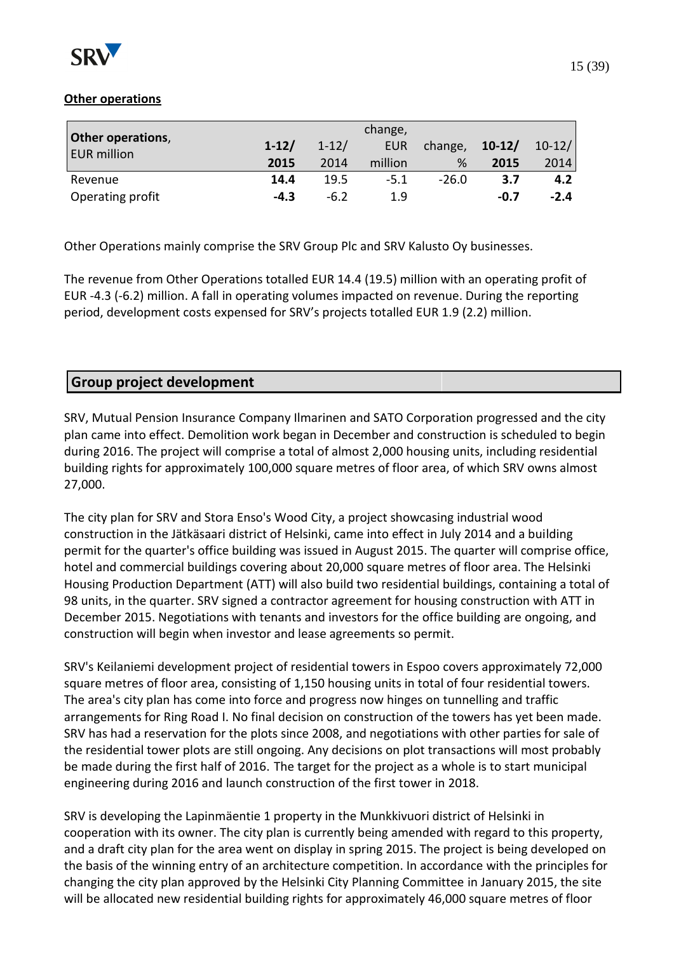

### **Other operations**

| Other operations,  |         |           |            |         |          |          |
|--------------------|---------|-----------|------------|---------|----------|----------|
| <b>EUR million</b> | $1-12/$ | $1 - 12/$ | <b>EUR</b> | change, | $10-12/$ | $10-12/$ |
|                    | 2015    | 2014      | million    | %       | 2015     | 2014     |
| Revenue            | 14.4    | 19.5      | $-5.1$     | $-26.0$ | 3.7      | 4.2      |
| Operating profit   | $-4.3$  | $-6.2$    | 1.9        |         | -0.7     | $-2.4$   |

Other Operations mainly comprise the SRV Group Plc and SRV Kalusto Oy businesses.

The revenue from Other Operations totalled EUR 14.4 (19.5) million with an operating profit of EUR -4.3 (-6.2) million. A fall in operating volumes impacted on revenue. During the reporting period, development costs expensed for SRV's projects totalled EUR 1.9 (2.2) million.

### **Group project development**

SRV, Mutual Pension Insurance Company Ilmarinen and SATO Corporation progressed and the city plan came into effect. Demolition work began in December and construction is scheduled to begin during 2016. The project will comprise a total of almost 2,000 housing units, including residential building rights for approximately 100,000 square metres of floor area, of which SRV owns almost 27,000.

The city plan for SRV and Stora Enso's Wood City, a project showcasing industrial wood construction in the Jätkäsaari district of Helsinki, came into effect in July 2014 and a building permit for the quarter's office building was issued in August 2015. The quarter will comprise office, hotel and commercial buildings covering about 20,000 square metres of floor area. The Helsinki Housing Production Department (ATT) will also build two residential buildings, containing a total of 98 units, in the quarter. SRV signed a contractor agreement for housing construction with ATT in December 2015. Negotiations with tenants and investors for the office building are ongoing, and construction will begin when investor and lease agreements so permit.

SRV's Keilaniemi development project of residential towers in Espoo covers approximately 72,000 square metres of floor area, consisting of 1,150 housing units in total of four residential towers. The area's city plan has come into force and progress now hinges on tunnelling and traffic arrangements for Ring Road I. No final decision on construction of the towers has yet been made. SRV has had a reservation for the plots since 2008, and negotiations with other parties for sale of the residential tower plots are still ongoing. Any decisions on plot transactions will most probably be made during the first half of 2016. The target for the project as a whole is to start municipal engineering during 2016 and launch construction of the first tower in 2018.

SRV is developing the Lapinmäentie 1 property in the Munkkivuori district of Helsinki in cooperation with its owner. The city plan is currently being amended with regard to this property, and a draft city plan for the area went on display in spring 2015. The project is being developed on the basis of the winning entry of an architecture competition. In accordance with the principles for changing the city plan approved by the Helsinki City Planning Committee in January 2015, the site will be allocated new residential building rights for approximately 46,000 square metres of floor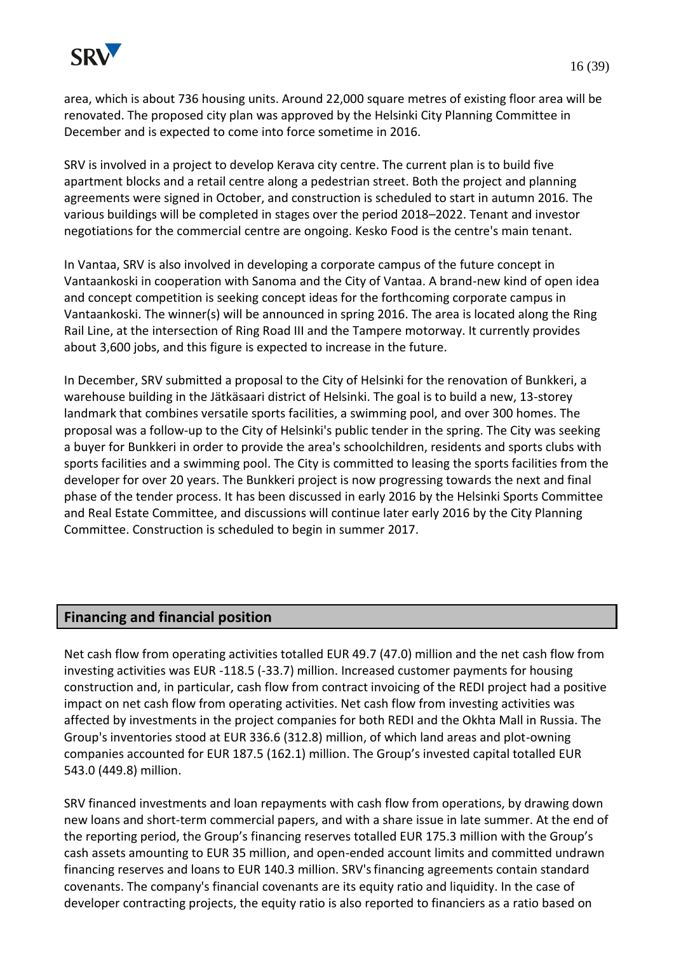

area, which is about 736 housing units. Around 22,000 square metres of existing floor area will be renovated. The proposed city plan was approved by the Helsinki City Planning Committee in December and is expected to come into force sometime in 2016.

SRV is involved in a project to develop Kerava city centre. The current plan is to build five apartment blocks and a retail centre along a pedestrian street. Both the project and planning agreements were signed in October, and construction is scheduled to start in autumn 2016. The various buildings will be completed in stages over the period 2018–2022. Tenant and investor negotiations for the commercial centre are ongoing. Kesko Food is the centre's main tenant.

In Vantaa, SRV is also involved in developing a corporate campus of the future concept in Vantaankoski in cooperation with Sanoma and the City of Vantaa. A brand-new kind of open idea and concept competition is seeking concept ideas for the forthcoming corporate campus in Vantaankoski. The winner(s) will be announced in spring 2016. The area is located along the Ring Rail Line, at the intersection of Ring Road III and the Tampere motorway. It currently provides about 3,600 jobs, and this figure is expected to increase in the future.

In December, SRV submitted a proposal to the City of Helsinki for the renovation of Bunkkeri, a warehouse building in the Jätkäsaari district of Helsinki. The goal is to build a new, 13-storey landmark that combines versatile sports facilities, a swimming pool, and over 300 homes. The proposal was a follow-up to the City of Helsinki's public tender in the spring. The City was seeking a buyer for Bunkkeri in order to provide the area's schoolchildren, residents and sports clubs with sports facilities and a swimming pool. The City is committed to leasing the sports facilities from the developer for over 20 years. The Bunkkeri project is now progressing towards the next and final phase of the tender process. It has been discussed in early 2016 by the Helsinki Sports Committee and Real Estate Committee, and discussions will continue later early 2016 by the City Planning Committee. Construction is scheduled to begin in summer 2017.

### **Financing and financial position**

Net cash flow from operating activities totalled EUR 49.7 (47.0) million and the net cash flow from investing activities was EUR -118.5 (-33.7) million. Increased customer payments for housing construction and, in particular, cash flow from contract invoicing of the REDI project had a positive impact on net cash flow from operating activities. Net cash flow from investing activities was affected by investments in the project companies for both REDI and the Okhta Mall in Russia. The Group's inventories stood at EUR 336.6 (312.8) million, of which land areas and plot-owning companies accounted for EUR 187.5 (162.1) million. The Group's invested capital totalled EUR 543.0 (449.8) million.

SRV financed investments and loan repayments with cash flow from operations, by drawing down new loans and short-term commercial papers, and with a share issue in late summer. At the end of the reporting period, the Group's financing reserves totalled EUR 175.3 million with the Group's cash assets amounting to EUR 35 million, and open-ended account limits and committed undrawn financing reserves and loans to EUR 140.3 million. SRV'sfinancing agreements contain standard covenants. The company's financial covenants are its equity ratio and liquidity. In the case of developer contracting projects, the equity ratio is also reported to financiers as a ratio based on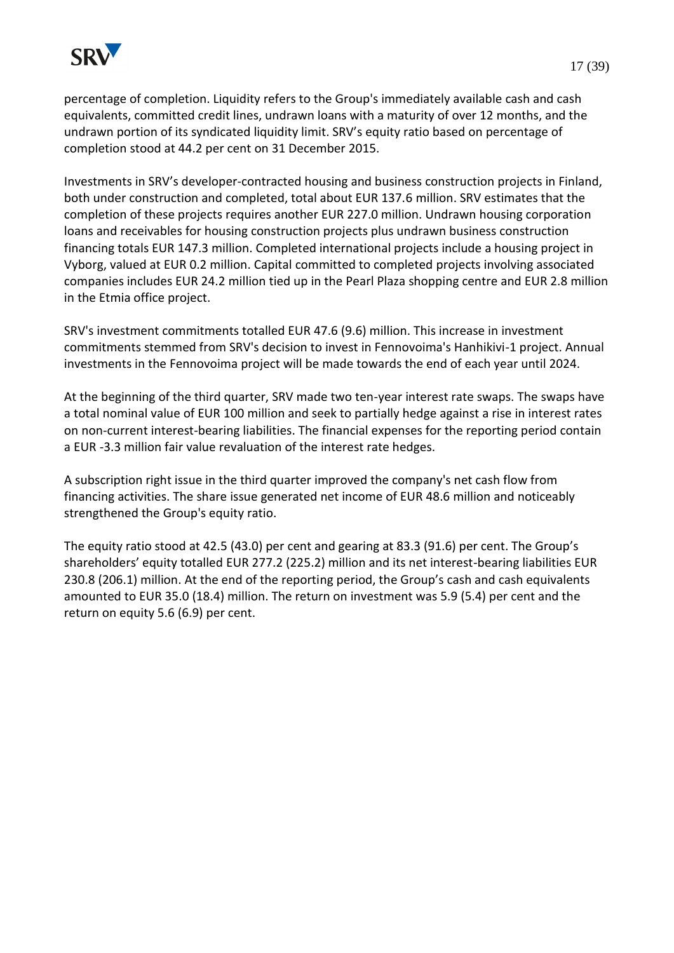

Investments in SRV's developer-contracted housing and business construction projects in Finland, both under construction and completed, total about EUR 137.6 million. SRV estimates that the completion of these projects requires another EUR 227.0 million. Undrawn housing corporation loans and receivables for housing construction projects plus undrawn business construction financing totals EUR 147.3 million. Completed international projects include a housing project in Vyborg, valued at EUR 0.2 million. Capital committed to completed projects involving associated companies includes EUR 24.2 million tied up in the Pearl Plaza shopping centre and EUR 2.8 million in the Etmia office project.

SRV's investment commitments totalled EUR 47.6 (9.6) million. This increase in investment commitments stemmed from SRV's decision to invest in Fennovoima's Hanhikivi-1 project. Annual investments in the Fennovoima project will be made towards the end of each year until 2024.

At the beginning of the third quarter, SRV made two ten-year interest rate swaps. The swaps have a total nominal value of EUR 100 million and seek to partially hedge against a rise in interest rates on non-current interest-bearing liabilities. The financial expenses for the reporting period contain a EUR -3.3 million fair value revaluation of the interest rate hedges.

A subscription right issue in the third quarter improved the company's net cash flow from financing activities. The share issue generated net income of EUR 48.6 million and noticeably strengthened the Group's equity ratio.

The equity ratio stood at 42.5 (43.0) per cent and gearing at 83.3 (91.6) per cent. The Group's shareholders' equity totalled EUR 277.2 (225.2) million and its net interest-bearing liabilities EUR 230.8 (206.1) million. At the end of the reporting period, the Group's cash and cash equivalents amounted to EUR 35.0 (18.4) million. The return on investment was 5.9 (5.4) per cent and the return on equity 5.6 (6.9) per cent.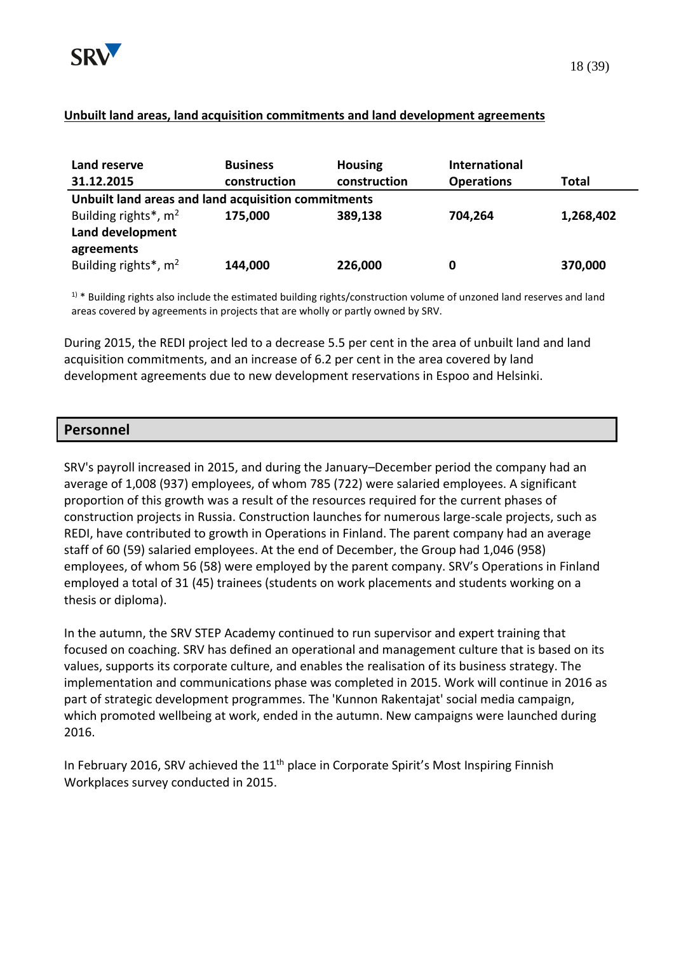

#### **Unbuilt land areas, land acquisition commitments and land development agreements**

| Land reserve                                        | <b>Business</b> | <b>Housing</b> | <b>International</b> |           |
|-----------------------------------------------------|-----------------|----------------|----------------------|-----------|
| 31.12.2015                                          | construction    | construction   | <b>Operations</b>    | Total     |
| Unbuilt land areas and land acquisition commitments |                 |                |                      |           |
| Building rights*, $m2$                              | 175,000         | 389,138        | 704,264              | 1,268,402 |
| Land development                                    |                 |                |                      |           |
| agreements                                          |                 |                |                      |           |
| Building rights*, $m2$                              | 144,000         | 226,000        | 0                    | 370,000   |

 $1$  \* Building rights also include the estimated building rights/construction volume of unzoned land reserves and land areas covered by agreements in projects that are wholly or partly owned by SRV.

During 2015, the REDI project led to a decrease 5.5 per cent in the area of unbuilt land and land acquisition commitments, and an increase of 6.2 per cent in the area covered by land development agreements due to new development reservations in Espoo and Helsinki.

#### **Personnel**

SRV's payroll increased in 2015, and during the January–December period the company had an average of 1,008 (937) employees, of whom 785 (722) were salaried employees. A significant proportion of this growth was a result of the resources required for the current phases of construction projects in Russia. Construction launches for numerous large-scale projects, such as REDI, have contributed to growth in Operations in Finland. The parent company had an average staff of 60 (59) salaried employees. At the end of December, the Group had 1,046 (958) employees, of whom 56 (58) were employed by the parent company. SRV's Operations in Finland employed a total of 31 (45) trainees (students on work placements and students working on a thesis or diploma).

In the autumn, the SRV STEP Academy continued to run supervisor and expert training that focused on coaching. SRV has defined an operational and management culture that is based on its values, supports its corporate culture, and enables the realisation of its business strategy. The implementation and communications phase was completed in 2015. Work will continue in 2016 as part of strategic development programmes. The 'Kunnon Rakentajat' social media campaign, which promoted wellbeing at work, ended in the autumn. New campaigns were launched during 2016.

In February 2016, SRV achieved the  $11<sup>th</sup>$  place in Corporate Spirit's Most Inspiring Finnish Workplaces survey conducted in 2015.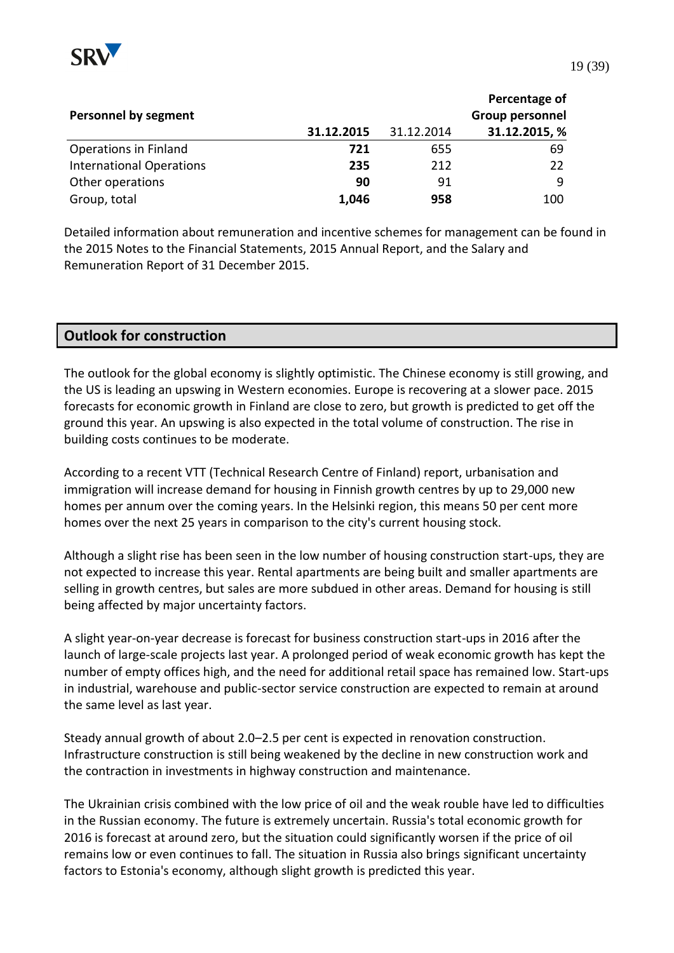

|                                 |            |            | Percentage of   |
|---------------------------------|------------|------------|-----------------|
| <b>Personnel by segment</b>     |            |            | Group personnel |
|                                 | 31.12.2015 | 31.12.2014 | 31.12.2015, %   |
| Operations in Finland           | 721        | 655        | 69              |
| <b>International Operations</b> | 235        | 212        | 22              |
| Other operations                | 90         | 91         | q               |
| Group, total                    | 1,046      | 958        | 100             |

Detailed information about remuneration and incentive schemes for management can be found in the 2015 Notes to the Financial Statements, 2015 Annual Report, and the Salary and Remuneration Report of 31 December 2015.

#### **Outlook for construction**

The outlook for the global economy is slightly optimistic. The Chinese economy is still growing, and the US is leading an upswing in Western economies. Europe is recovering at a slower pace. 2015 forecasts for economic growth in Finland are close to zero, but growth is predicted to get off the ground this year. An upswing is also expected in the total volume of construction. The rise in building costs continues to be moderate.

According to a recent VTT (Technical Research Centre of Finland) report, urbanisation and immigration will increase demand for housing in Finnish growth centres by up to 29,000 new homes per annum over the coming years. In the Helsinki region, this means 50 per cent more homes over the next 25 years in comparison to the city's current housing stock.

Although a slight rise has been seen in the low number of housing construction start-ups, they are not expected to increase this year. Rental apartments are being built and smaller apartments are selling in growth centres, but sales are more subdued in other areas. Demand for housing is still being affected by major uncertainty factors.

A slight year-on-year decrease is forecast for business construction start-ups in 2016 after the launch of large-scale projects last year. A prolonged period of weak economic growth has kept the number of empty offices high, and the need for additional retail space has remained low. Start-ups in industrial, warehouse and public-sector service construction are expected to remain at around the same level as last year.

Steady annual growth of about 2.0–2.5 per cent is expected in renovation construction. Infrastructure construction is still being weakened by the decline in new construction work and the contraction in investments in highway construction and maintenance.

The Ukrainian crisis combined with the low price of oil and the weak rouble have led to difficulties in the Russian economy. The future is extremely uncertain. Russia's total economic growth for 2016 is forecast at around zero, but the situation could significantly worsen if the price of oil remains low or even continues to fall. The situation in Russia also brings significant uncertainty factors to Estonia's economy, although slight growth is predicted this year.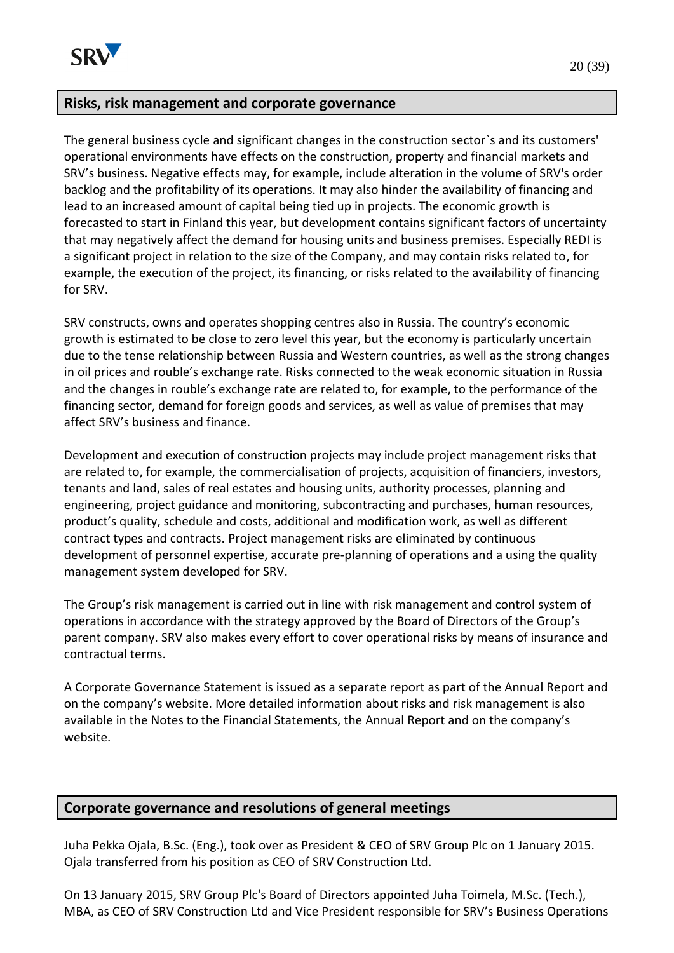

### **Risks, risk management and corporate governance**

The general business cycle and significant changes in the construction sector`s and its customers' operational environments have effects on the construction, property and financial markets and SRV's business. Negative effects may, for example, include alteration in the volume of SRV's order backlog and the profitability of its operations. It may also hinder the availability of financing and lead to an increased amount of capital being tied up in projects. The economic growth is forecasted to start in Finland this year, but development contains significant factors of uncertainty that may negatively affect the demand for housing units and business premises. Especially REDI is a significant project in relation to the size of the Company, and may contain risks related to, for example, the execution of the project, its financing, or risks related to the availability of financing for SRV.

SRV constructs, owns and operates shopping centres also in Russia. The country's economic growth is estimated to be close to zero level this year, but the economy is particularly uncertain due to the tense relationship between Russia and Western countries, as well as the strong changes in oil prices and rouble's exchange rate. Risks connected to the weak economic situation in Russia and the changes in rouble's exchange rate are related to, for example, to the performance of the financing sector, demand for foreign goods and services, as well as value of premises that may affect SRV's business and finance.

Development and execution of construction projects may include project management risks that are related to, for example, the commercialisation of projects, acquisition of financiers, investors, tenants and land, sales of real estates and housing units, authority processes, planning and engineering, project guidance and monitoring, subcontracting and purchases, human resources, product's quality, schedule and costs, additional and modification work, as well as different contract types and contracts. Project management risks are eliminated by continuous development of personnel expertise, accurate pre-planning of operations and a using the quality management system developed for SRV.

The Group's risk management is carried out in line with risk management and control system of operations in accordance with the strategy approved by the Board of Directors of the Group's parent company. SRV also makes every effort to cover operational risks by means of insurance and contractual terms.

A Corporate Governance Statement is issued as a separate report as part of the Annual Report and on the company's website. More detailed information about risks and risk management is also available in the Notes to the Financial Statements, the Annual Report and on the company's website.

### **Corporate governance and resolutions of general meetings**

Juha Pekka Ojala, B.Sc. (Eng.), took over as President & CEO of SRV Group Plc on 1 January 2015. Ojala transferred from his position as CEO of SRV Construction Ltd.

On 13 January 2015, SRV Group Plc's Board of Directors appointed Juha Toimela, M.Sc. (Tech.), MBA, as CEO of SRV Construction Ltd and Vice President responsible for SRV's Business Operations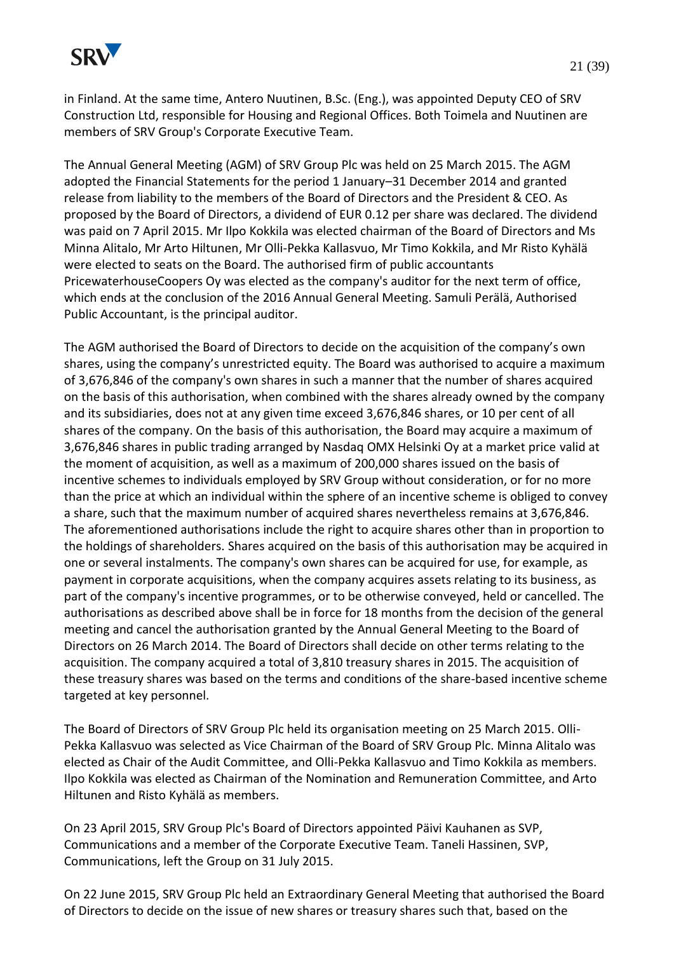

in Finland. At the same time, Antero Nuutinen, B.Sc. (Eng.), was appointed Deputy CEO of SRV Construction Ltd, responsible for Housing and Regional Offices. Both Toimela and Nuutinen are members of SRV Group's Corporate Executive Team.

The Annual General Meeting (AGM) of SRV Group Plc was held on 25 March 2015. The AGM adopted the Financial Statements for the period 1 January–31 December 2014 and granted release from liability to the members of the Board of Directors and the President & CEO. As proposed by the Board of Directors, a dividend of EUR 0.12 per share was declared. The dividend was paid on 7 April 2015. Mr Ilpo Kokkila was elected chairman of the Board of Directors and Ms Minna Alitalo, Mr Arto Hiltunen, Mr Olli-Pekka Kallasvuo, Mr Timo Kokkila, and Mr Risto Kyhälä were elected to seats on the Board. The authorised firm of public accountants PricewaterhouseCoopers Oy was elected as the company's auditor for the next term of office, which ends at the conclusion of the 2016 Annual General Meeting. Samuli Perälä, Authorised Public Accountant, is the principal auditor.

The AGM authorised the Board of Directors to decide on the acquisition of the company's own shares, using the company's unrestricted equity. The Board was authorised to acquire a maximum of 3,676,846 of the company's own shares in such a manner that the number of shares acquired on the basis of this authorisation, when combined with the shares already owned by the company and its subsidiaries, does not at any given time exceed 3,676,846 shares, or 10 per cent of all shares of the company. On the basis of this authorisation, the Board may acquire a maximum of 3,676,846 shares in public trading arranged by Nasdaq OMX Helsinki Oy at a market price valid at the moment of acquisition, as well as a maximum of 200,000 shares issued on the basis of incentive schemes to individuals employed by SRV Group without consideration, or for no more than the price at which an individual within the sphere of an incentive scheme is obliged to convey a share, such that the maximum number of acquired shares nevertheless remains at 3,676,846. The aforementioned authorisations include the right to acquire shares other than in proportion to the holdings of shareholders. Shares acquired on the basis of this authorisation may be acquired in one or several instalments. The company's own shares can be acquired for use, for example, as payment in corporate acquisitions, when the company acquires assets relating to its business, as part of the company's incentive programmes, or to be otherwise conveyed, held or cancelled. The authorisations as described above shall be in force for 18 months from the decision of the general meeting and cancel the authorisation granted by the Annual General Meeting to the Board of Directors on 26 March 2014. The Board of Directors shall decide on other terms relating to the acquisition. The company acquired a total of 3,810 treasury shares in 2015. The acquisition of these treasury shares was based on the terms and conditions of the share-based incentive scheme targeted at key personnel.

The Board of Directors of SRV Group Plc held its organisation meeting on 25 March 2015. Olli-Pekka Kallasvuo was selected as Vice Chairman of the Board of SRV Group Plc. Minna Alitalo was elected as Chair of the Audit Committee, and Olli-Pekka Kallasvuo and Timo Kokkila as members. Ilpo Kokkila was elected as Chairman of the Nomination and Remuneration Committee, and Arto Hiltunen and Risto Kyhälä as members.

On 23 April 2015, SRV Group Plc's Board of Directors appointed Päivi Kauhanen as SVP, Communications and a member of the Corporate Executive Team. Taneli Hassinen, SVP, Communications, left the Group on 31 July 2015.

On 22 June 2015, SRV Group Plc held an Extraordinary General Meeting that authorised the Board of Directors to decide on the issue of new shares or treasury shares such that, based on the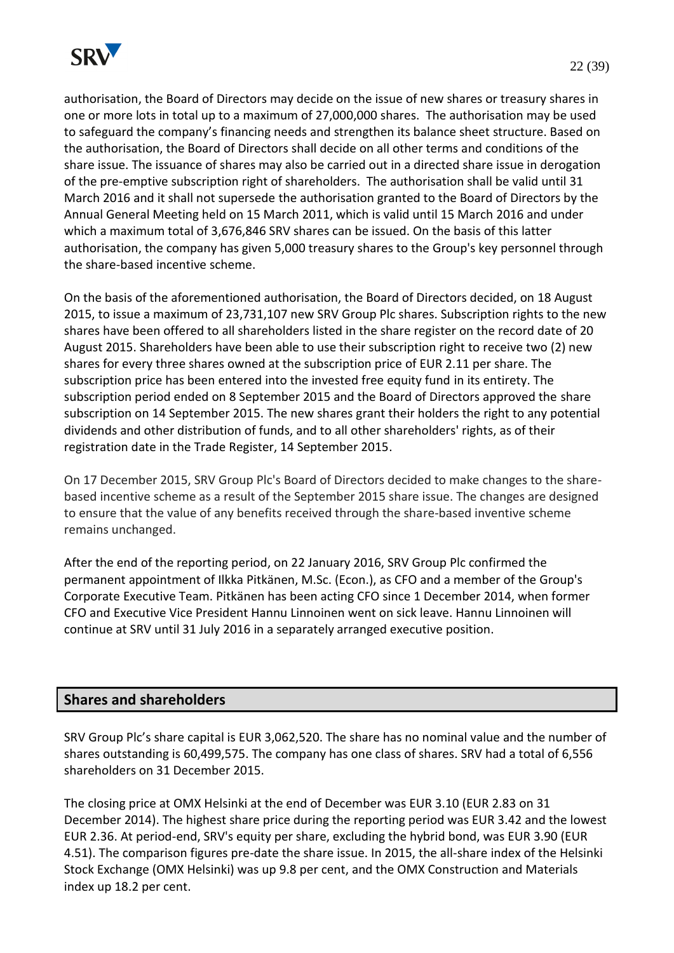

authorisation, the Board of Directors may decide on the issue of new shares or treasury shares in one or more lots in total up to a maximum of 27,000,000 shares. The authorisation may be used to safeguard the company's financing needs and strengthen its balance sheet structure. Based on the authorisation, the Board of Directors shall decide on all other terms and conditions of the share issue. The issuance of shares may also be carried out in a directed share issue in derogation of the pre-emptive subscription right of shareholders. The authorisation shall be valid until 31 March 2016 and it shall not supersede the authorisation granted to the Board of Directors by the Annual General Meeting held on 15 March 2011, which is valid until 15 March 2016 and under which a maximum total of 3,676,846 SRV shares can be issued. On the basis of this latter authorisation, the company has given 5,000 treasury shares to the Group's key personnel through the share-based incentive scheme.

On the basis of the aforementioned authorisation, the Board of Directors decided, on 18 August 2015, to issue a maximum of 23,731,107 new SRV Group Plc shares. Subscription rights to the new shares have been offered to all shareholders listed in the share register on the record date of 20 August 2015. Shareholders have been able to use their subscription right to receive two (2) new shares for every three shares owned at the subscription price of EUR 2.11 per share. The subscription price has been entered into the invested free equity fund in its entirety. The subscription period ended on 8 September 2015 and the Board of Directors approved the share subscription on 14 September 2015. The new shares grant their holders the right to any potential dividends and other distribution of funds, and to all other shareholders' rights, as of their registration date in the Trade Register, 14 September 2015.

On 17 December 2015, SRV Group Plc's Board of Directors decided to make changes to the sharebased incentive scheme as a result of the September 2015 share issue. The changes are designed to ensure that the value of any benefits received through the share-based inventive scheme remains unchanged.

After the end of the reporting period, on 22 January 2016, SRV Group Plc confirmed the permanent appointment of Ilkka Pitkänen, M.Sc. (Econ.), as CFO and a member of the Group's Corporate Executive Team. Pitkänen has been acting CFO since 1 December 2014, when former CFO and Executive Vice President Hannu Linnoinen went on sick leave. Hannu Linnoinen will continue at SRV until 31 July 2016 in a separately arranged executive position.

### **Shares and shareholders**

SRV Group Plc's share capital is EUR 3,062,520. The share has no nominal value and the number of shares outstanding is 60,499,575. The company has one class of shares. SRV had a total of 6,556 shareholders on 31 December 2015.

The closing price at OMX Helsinki at the end of December was EUR 3.10 (EUR 2.83 on 31 December 2014). The highest share price during the reporting period was EUR 3.42 and the lowest EUR 2.36. At period-end, SRV's equity per share, excluding the hybrid bond, was EUR 3.90 (EUR 4.51). The comparison figures pre-date the share issue. In 2015, the all-share index of the Helsinki Stock Exchange (OMX Helsinki) was up 9.8 per cent, and the OMX Construction and Materials index up 18.2 per cent.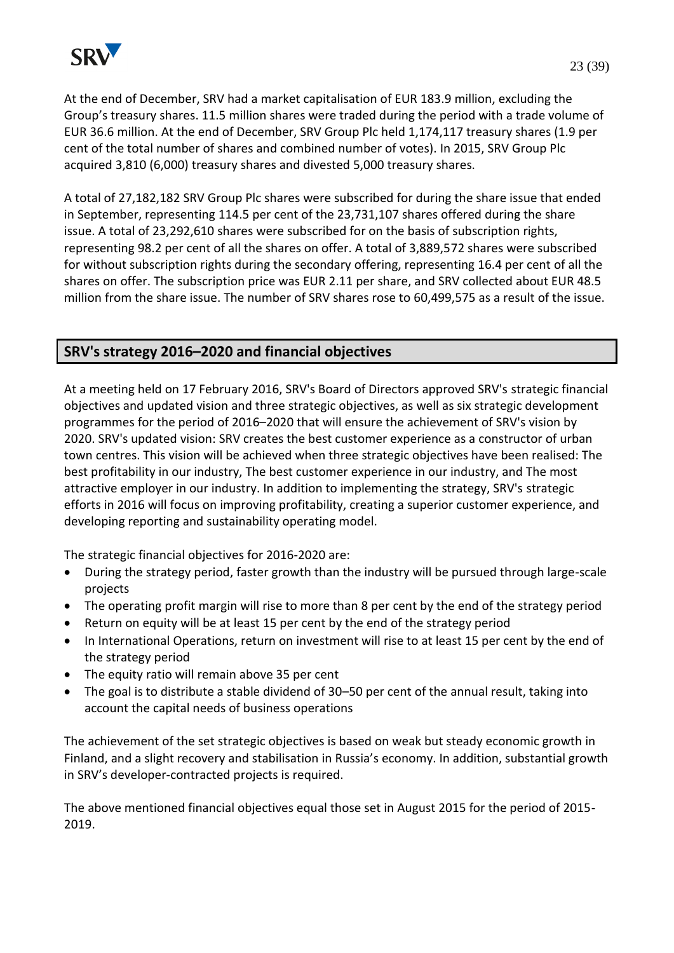

At the end of December, SRV had a market capitalisation of EUR 183.9 million, excluding the Group's treasury shares. 11.5 million shares were traded during the period with a trade volume of EUR 36.6 million. At the end of December, SRV Group Plc held 1,174,117 treasury shares (1.9 per cent of the total number of shares and combined number of votes). In 2015, SRV Group Plc acquired 3,810 (6,000) treasury shares and divested 5,000 treasury shares.

A total of 27,182,182 SRV Group Plc shares were subscribed for during the share issue that ended in September, representing 114.5 per cent of the 23,731,107 shares offered during the share issue. A total of 23,292,610 shares were subscribed for on the basis of subscription rights, representing 98.2 per cent of all the shares on offer. A total of 3,889,572 shares were subscribed for without subscription rights during the secondary offering, representing 16.4 per cent of all the shares on offer. The subscription price was EUR 2.11 per share, and SRV collected about EUR 48.5 million from the share issue. The number of SRV shares rose to 60,499,575 as a result of the issue.

# **SRV's strategy 2016–2020 and financial objectives**

At a meeting held on 17 February 2016, SRV's Board of Directors approved SRV's strategic financial objectives and updated vision and three strategic objectives, as well as six strategic development programmes for the period of 2016–2020 that will ensure the achievement of SRV's vision by 2020. SRV's updated vision: SRV creates the best customer experience as a constructor of urban town centres. This vision will be achieved when three strategic objectives have been realised: The best profitability in our industry, The best customer experience in our industry, and The most attractive employer in our industry. In addition to implementing the strategy, SRV's strategic efforts in 2016 will focus on improving profitability, creating a superior customer experience, and developing reporting and sustainability operating model.

The strategic financial objectives for 2016-2020 are:

- During the strategy period, faster growth than the industry will be pursued through large-scale projects
- The operating profit margin will rise to more than 8 per cent by the end of the strategy period
- Return on equity will be at least 15 per cent by the end of the strategy period
- In International Operations, return on investment will rise to at least 15 per cent by the end of the strategy period
- The equity ratio will remain above 35 per cent
- The goal is to distribute a stable dividend of 30–50 per cent of the annual result, taking into account the capital needs of business operations

The achievement of the set strategic objectives is based on weak but steady economic growth in Finland, and a slight recovery and stabilisation in Russia's economy. In addition, substantial growth in SRV's developer-contracted projects is required.

The above mentioned financial objectives equal those set in August 2015 for the period of 2015- 2019.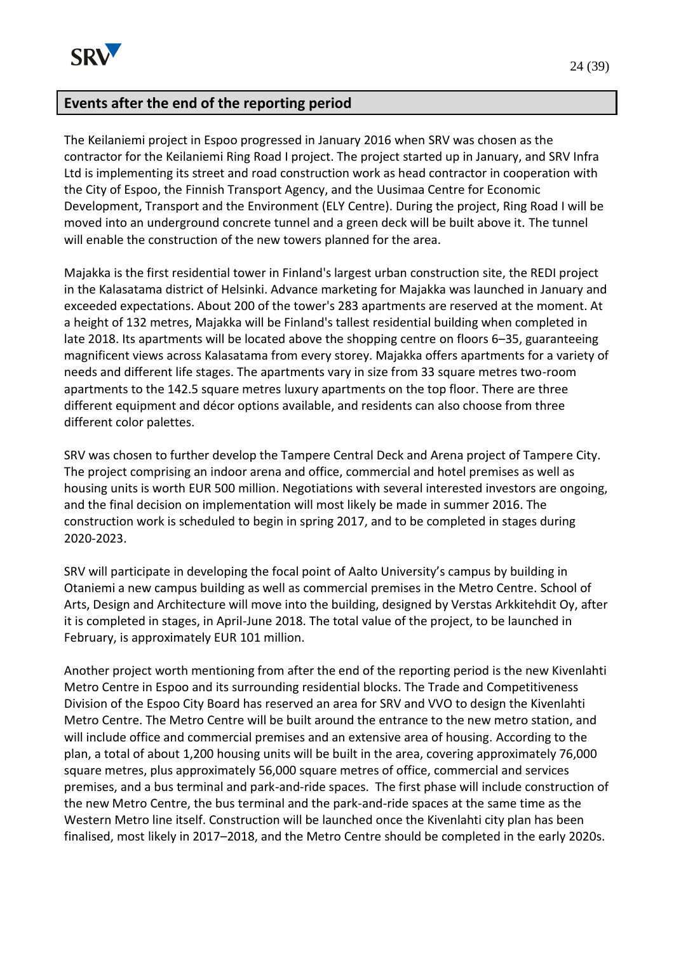

### **Events after the end of the reporting period**

The Keilaniemi project in Espoo progressed in January 2016 when SRV was chosen as the contractor for the Keilaniemi Ring Road I project. The project started up in January, and SRV Infra Ltd is implementing its street and road construction work as head contractor in cooperation with the City of Espoo, the Finnish Transport Agency, and the Uusimaa Centre for Economic Development, Transport and the Environment (ELY Centre). During the project, Ring Road I will be moved into an underground concrete tunnel and a green deck will be built above it. The tunnel will enable the construction of the new towers planned for the area.

Majakka is the first residential tower in Finland's largest urban construction site, the REDI project in the Kalasatama district of Helsinki. Advance marketing for Majakka was launched in January and exceeded expectations. About 200 of the tower's 283 apartments are reserved at the moment. At a height of 132 metres, Majakka will be Finland's tallest residential building when completed in late 2018. Its apartments will be located above the shopping centre on floors 6–35, guaranteeing magnificent views across Kalasatama from every storey. Majakka offers apartments for a variety of needs and different life stages. The apartments vary in size from 33 square metres two-room apartments to the 142.5 square metres luxury apartments on the top floor. There are three different equipment and décor options available, and residents can also choose from three different color palettes.

SRV was chosen to further develop the Tampere Central Deck and Arena project of Tampere City. The project comprising an indoor arena and office, commercial and hotel premises as well as housing units is worth EUR 500 million. Negotiations with several interested investors are ongoing, and the final decision on implementation will most likely be made in summer 2016. The construction work is scheduled to begin in spring 2017, and to be completed in stages during 2020-2023.

SRV will participate in developing the focal point of Aalto University's campus by building in Otaniemi a new campus building as well as commercial premises in the Metro Centre. School of Arts, Design and Architecture will move into the building, designed by Verstas Arkkitehdit Oy, after it is completed in stages, in April-June 2018. The total value of the project, to be launched in February, is approximately EUR 101 million.

Another project worth mentioning from after the end of the reporting period is the new Kivenlahti Metro Centre in Espoo and its surrounding residential blocks. The Trade and Competitiveness Division of the Espoo City Board has reserved an area for SRV and VVO to design the Kivenlahti Metro Centre. The Metro Centre will be built around the entrance to the new metro station, and will include office and commercial premises and an extensive area of housing. According to the plan, a total of about 1,200 housing units will be built in the area, covering approximately 76,000 square metres, plus approximately 56,000 square metres of office, commercial and services premises, and a bus terminal and park-and-ride spaces. The first phase will include construction of the new Metro Centre, the bus terminal and the park-and-ride spaces at the same time as the Western Metro line itself. Construction will be launched once the Kivenlahti city plan has been finalised, most likely in 2017–2018, and the Metro Centre should be completed in the early 2020s.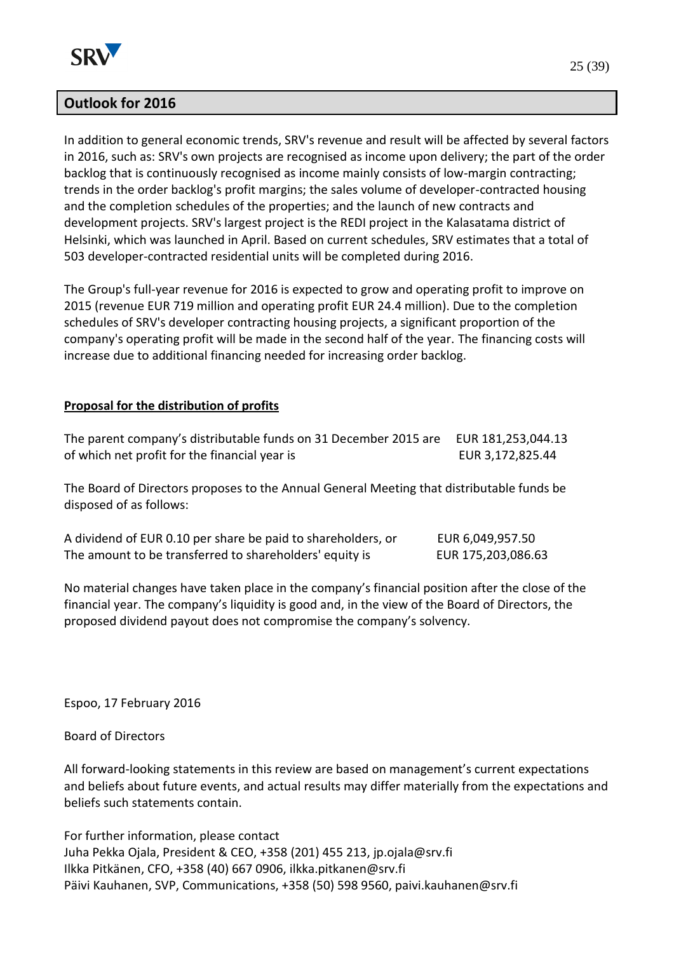

### **Outlook for 2016**

In addition to general economic trends, SRV's revenue and result will be affected by several factors in 2016, such as: SRV's own projects are recognised as income upon delivery; the part of the order backlog that is continuously recognised as income mainly consists of low-margin contracting; trends in the order backlog's profit margins; the sales volume of developer-contracted housing and the completion schedules of the properties; and the launch of new contracts and development projects. SRV's largest project is the REDI project in the Kalasatama district of Helsinki, which was launched in April. Based on current schedules, SRV estimates that a total of 503 developer-contracted residential units will be completed during 2016.

The Group's full-year revenue for 2016 is expected to grow and operating profit to improve on 2015 (revenue EUR 719 million and operating profit EUR 24.4 million). Due to the completion schedules of SRV's developer contracting housing projects, a significant proportion of the company's operating profit will be made in the second half of the year. The financing costs will increase due to additional financing needed for increasing order backlog.

#### **Proposal for the distribution of profits**

| The parent company's distributable funds on 31 December 2015 are EUR 181,253,044.13 |                  |
|-------------------------------------------------------------------------------------|------------------|
| of which net profit for the financial year is                                       | EUR 3,172,825.44 |

The Board of Directors proposes to the Annual General Meeting that distributable funds be disposed of as follows:

| A dividend of EUR 0.10 per share be paid to shareholders, or | EUR 6,049,957.50   |
|--------------------------------------------------------------|--------------------|
| The amount to be transferred to shareholders' equity is      | EUR 175,203,086.63 |

No material changes have taken place in the company's financial position after the close of the financial year. The company's liquidity is good and, in the view of the Board of Directors, the proposed dividend payout does not compromise the company's solvency.

Espoo, 17 February 2016

Board of Directors

All forward-looking statements in this review are based on management's current expectations and beliefs about future events, and actual results may differ materially from the expectations and beliefs such statements contain.

For further information, please contact Juha Pekka Ojala, President & CEO, +358 (201) 455 213, jp.ojala@srv.fi Ilkka Pitkänen, CFO, +358 (40) 667 0906, ilkka.pitkanen@srv.fi Päivi Kauhanen, SVP, Communications, +358 (50) 598 9560, paivi.kauhanen@srv.fi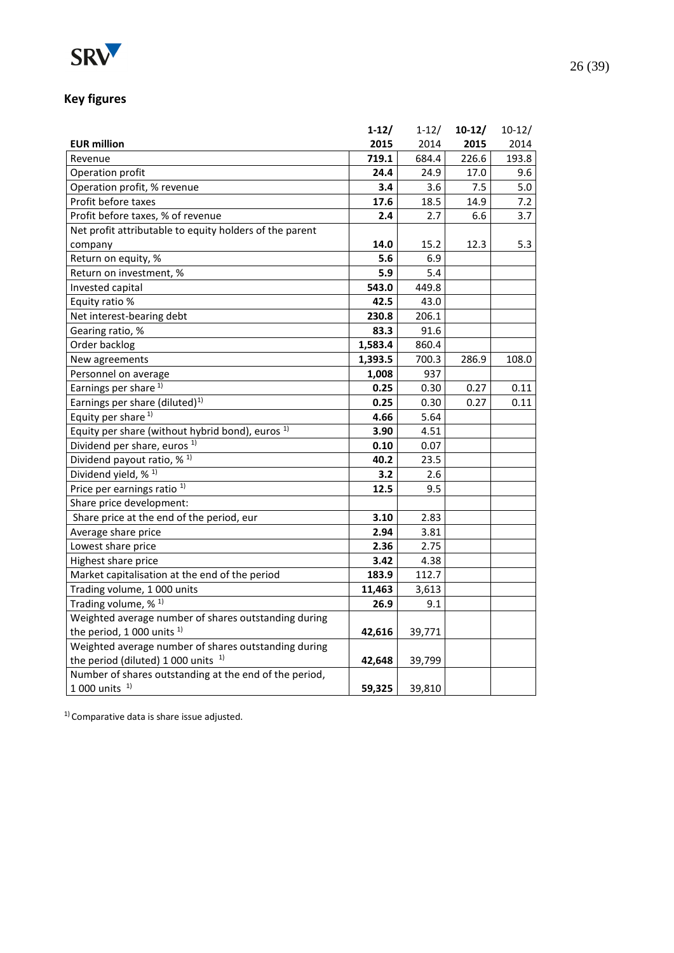

# **Key figures**

|                                                             | $1-12/$ | $1 - 12/$ | $10-12/$ | $10-12/$ |
|-------------------------------------------------------------|---------|-----------|----------|----------|
| <b>EUR million</b>                                          | 2015    | 2014      | 2015     | 2014     |
| Revenue                                                     | 719.1   | 684.4     | 226.6    | 193.8    |
| Operation profit                                            | 24.4    | 24.9      | 17.0     | 9.6      |
| Operation profit, % revenue                                 | 3.4     | 3.6       | 7.5      | 5.0      |
| Profit before taxes                                         | 17.6    | 18.5      | 14.9     | 7.2      |
| Profit before taxes, % of revenue                           | 2.4     | 2.7       | 6.6      | 3.7      |
| Net profit attributable to equity holders of the parent     |         |           |          |          |
| company                                                     | 14.0    | 15.2      | 12.3     | 5.3      |
| Return on equity, %                                         | 5.6     | 6.9       |          |          |
| Return on investment, %                                     | 5.9     | 5.4       |          |          |
| Invested capital                                            | 543.0   | 449.8     |          |          |
| Equity ratio %                                              | 42.5    | 43.0      |          |          |
| Net interest-bearing debt                                   | 230.8   | 206.1     |          |          |
| Gearing ratio, %                                            | 83.3    | 91.6      |          |          |
| Order backlog                                               | 1,583.4 | 860.4     |          |          |
| New agreements                                              | 1,393.5 | 700.3     | 286.9    | 108.0    |
| Personnel on average                                        | 1,008   | 937       |          |          |
| Earnings per share <sup>1)</sup>                            | 0.25    | 0.30      | 0.27     | 0.11     |
| Earnings per share (diluted) <sup>1)</sup>                  | 0.25    | 0.30      | 0.27     | 0.11     |
| Equity per share <sup>1)</sup>                              | 4.66    | 5.64      |          |          |
| Equity per share (without hybrid bond), euros <sup>1)</sup> | 3.90    | 4.51      |          |          |
| Dividend per share, euros <sup>1)</sup>                     | 0.10    | 0.07      |          |          |
| Dividend payout ratio, % <sup>1)</sup>                      | 40.2    | 23.5      |          |          |
| Dividend yield, % <sup>1)</sup>                             | 3.2     | 2.6       |          |          |
| Price per earnings ratio <sup>1)</sup>                      | 12.5    | 9.5       |          |          |
| Share price development:                                    |         |           |          |          |
| Share price at the end of the period, eur                   | 3.10    | 2.83      |          |          |
| Average share price                                         | 2.94    | 3.81      |          |          |
| Lowest share price                                          | 2.36    | 2.75      |          |          |
| Highest share price                                         | 3.42    | 4.38      |          |          |
| Market capitalisation at the end of the period              | 183.9   | 112.7     |          |          |
| Trading volume, 1 000 units                                 | 11,463  | 3,613     |          |          |
| Trading volume, % <sup>1)</sup>                             | 26.9    | 9.1       |          |          |
| Weighted average number of shares outstanding during        |         |           |          |          |
| the period, 1 000 units $1$ )                               | 42,616  | 39,771    |          |          |
| Weighted average number of shares outstanding during        |         |           |          |          |
| the period (diluted) 1 000 units $1$ )                      | 42,648  | 39,799    |          |          |
| Number of shares outstanding at the end of the period,      |         |           |          |          |
| $1000$ units $1$                                            | 59,325  | 39,810    |          |          |

<sup>1)</sup> Comparative data is share issue adjusted.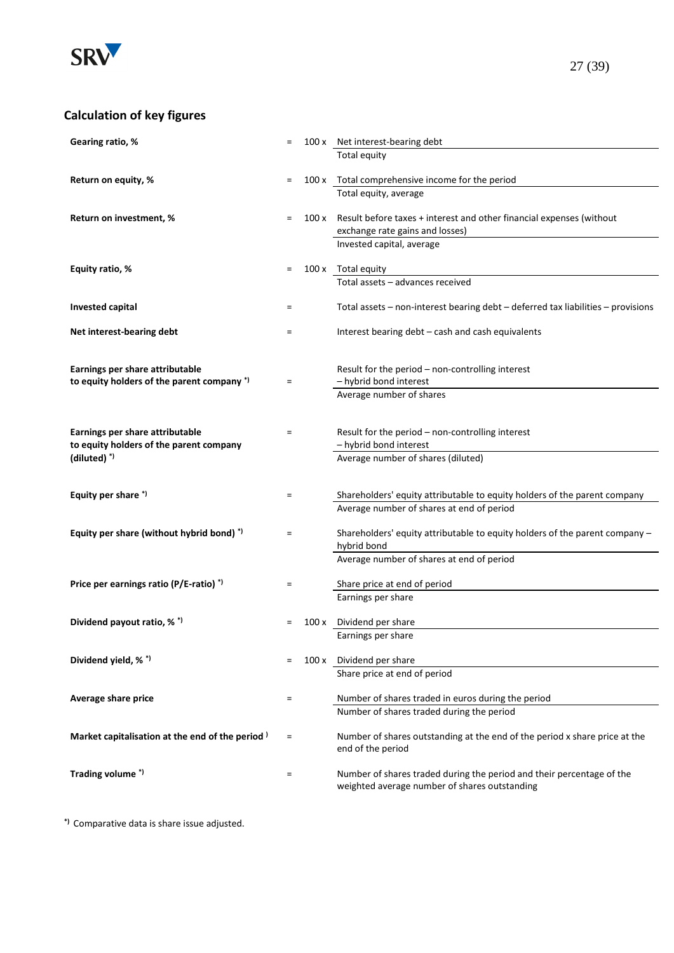

| Gearing ratio, %                                | $=$      |       | 100 x Net interest-bearing debt                                                                                        |
|-------------------------------------------------|----------|-------|------------------------------------------------------------------------------------------------------------------------|
|                                                 |          |       | Total equity                                                                                                           |
| Return on equity, %                             | $\equiv$ |       | 100 x Total comprehensive income for the period                                                                        |
|                                                 |          |       | Total equity, average                                                                                                  |
| Return on investment, %                         | $\equiv$ |       | 100 x Result before taxes + interest and other financial expenses (without                                             |
|                                                 |          |       | exchange rate gains and losses)                                                                                        |
|                                                 |          |       | Invested capital, average                                                                                              |
| Equity ratio, %                                 | $\equiv$ |       | 100 x Total equity                                                                                                     |
|                                                 |          |       | Total assets - advances received                                                                                       |
|                                                 |          |       |                                                                                                                        |
| <b>Invested capital</b>                         | $\equiv$ |       | Total assets $-$ non-interest bearing debt $-$ deferred tax liabilities $-$ provisions                                 |
| Net interest-bearing debt                       | $\equiv$ |       | Interest bearing debt - cash and cash equivalents                                                                      |
|                                                 |          |       |                                                                                                                        |
| Earnings per share attributable                 |          |       | Result for the period - non-controlling interest                                                                       |
| to equity holders of the parent company *)      | $=$      |       | - hybrid bond interest                                                                                                 |
|                                                 |          |       | Average number of shares                                                                                               |
|                                                 |          |       |                                                                                                                        |
| Earnings per share attributable                 | $=$      |       | Result for the period - non-controlling interest                                                                       |
| to equity holders of the parent company         |          |       | - hybrid bond interest                                                                                                 |
| $(diluted)$ <sup>*)</sup>                       |          |       | Average number of shares (diluted)                                                                                     |
|                                                 |          |       |                                                                                                                        |
| Equity per share *)                             | $\equiv$ |       | Shareholders' equity attributable to equity holders of the parent company                                              |
|                                                 |          |       | Average number of shares at end of period                                                                              |
| Equity per share (without hybrid bond) *)       | $=$      |       | Shareholders' equity attributable to equity holders of the parent company -                                            |
|                                                 |          |       | hybrid bond                                                                                                            |
|                                                 |          |       | Average number of shares at end of period                                                                              |
| Price per earnings ratio (P/E-ratio) *)         | =        |       | Share price at end of period                                                                                           |
|                                                 |          |       | Earnings per share                                                                                                     |
| Dividend payout ratio, % *)                     |          | 100 x | Dividend per share                                                                                                     |
|                                                 |          |       | Earnings per share                                                                                                     |
|                                                 |          |       |                                                                                                                        |
| Dividend yield, % *)                            |          |       | 100 x Dividend per share                                                                                               |
|                                                 |          |       | Share price at end of period                                                                                           |
| Average share price                             | $\equiv$ |       | Number of shares traded in euros during the period                                                                     |
|                                                 |          |       | Number of shares traded during the period                                                                              |
| Market capitalisation at the end of the period) | $\equiv$ |       | Number of shares outstanding at the end of the period x share price at the                                             |
|                                                 |          |       | end of the period                                                                                                      |
|                                                 |          |       |                                                                                                                        |
|                                                 |          |       |                                                                                                                        |
| Trading volume *)                               | $\equiv$ |       | Number of shares traded during the period and their percentage of the<br>weighted average number of shares outstanding |

**\*)** Comparative data is share issue adjusted.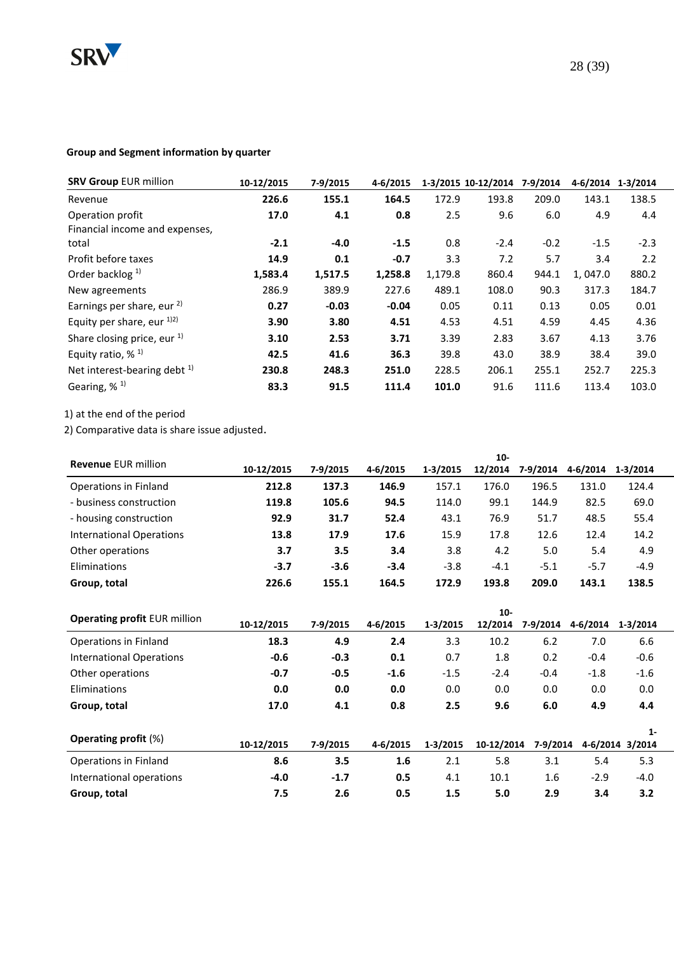

| <b>SRV Group EUR million</b>          | 10-12/2015 | 7-9/2015 | 4-6/2015 |         | 1-3/2015 10-12/2014 | 7-9/2014 | 4-6/2014 | 1-3/2014 |
|---------------------------------------|------------|----------|----------|---------|---------------------|----------|----------|----------|
| Revenue                               | 226.6      | 155.1    | 164.5    | 172.9   | 193.8               | 209.0    | 143.1    | 138.5    |
| Operation profit                      | 17.0       | 4.1      | 0.8      | 2.5     | 9.6                 | 6.0      | 4.9      | 4.4      |
| Financial income and expenses,        |            |          |          |         |                     |          |          |          |
| total                                 | $-2.1$     | $-4.0$   | $-1.5$   | 0.8     | $-2.4$              | $-0.2$   | $-1.5$   | $-2.3$   |
| Profit before taxes                   | 14.9       | 0.1      | $-0.7$   | 3.3     | 7.2                 | 5.7      | 3.4      | 2.2      |
| Order backlog $1$                     | 1,583.4    | 1,517.5  | 1,258.8  | 1,179.8 | 860.4               | 944.1    | 1,047.0  | 880.2    |
| New agreements                        | 286.9      | 389.9    | 227.6    | 489.1   | 108.0               | 90.3     | 317.3    | 184.7    |
| Earnings per share, eur <sup>2)</sup> | 0.27       | $-0.03$  | $-0.04$  | 0.05    | 0.11                | 0.13     | 0.05     | 0.01     |
| Equity per share, eur 1)2)            | 3.90       | 3.80     | 4.51     | 4.53    | 4.51                | 4.59     | 4.45     | 4.36     |
| Share closing price, eur $1$ )        | 3.10       | 2.53     | 3.71     | 3.39    | 2.83                | 3.67     | 4.13     | 3.76     |
| Equity ratio, $%$ <sup>1)</sup>       | 42.5       | 41.6     | 36.3     | 39.8    | 43.0                | 38.9     | 38.4     | 39.0     |
| Net interest-bearing debt $1$ )       | 230.8      | 248.3    | 251.0    | 228.5   | 206.1               | 255.1    | 252.7    | 225.3    |
| Gearing, $%$ <sup>1)</sup>            | 83.3       | 91.5     | 111.4    | 101.0   | 91.6                | 111.6    | 113.4    | 103.0    |

1) at the end of the period

2) Comparative data is share issue adjusted.

| <b>Revenue EUR million</b> |            |          |          |          | $10-$   |          |          |          |
|----------------------------|------------|----------|----------|----------|---------|----------|----------|----------|
|                            | 10-12/2015 | 7-9/2015 | 4-6/2015 | 1-3/2015 | 12/2014 | 7-9/2014 | 4-6/2014 | 1-3/2014 |
| Operations in Finland      | 212.8      | 137.3    | 146.9    | 157.1    | 176.0   | 196.5    | 131.0    | 124.4    |
| - business construction    | 119.8      | 105.6    | 94.5     | 114.0    | 99.1    | 144.9    | 82.5     | 69.0     |
| - housing construction     | 92.9       | 31.7     | 52.4     | 43.1     | 76.9    | 51.7     | 48.5     | 55.4     |
| International Operations   | 13.8       | 17.9     | 17.6     | 15.9     | 17.8    | 12.6     | 12.4     | 14.2     |
| Other operations           | 3.7        | 3.5      | 3.4      | 3.8      | 4.2     | 5.0      | 5.4      | 4.9      |
| Eliminations               | $-3.7$     | $-3.6$   | $-3.4$   | $-3.8$   | $-4.1$  | $-5.1$   | $-5.7$   | $-4.9$   |
| Group, total               | 226.6      | 155.1    | 164.5    | 172.9    | 193.8   | 209.0    | 143.1    | 138.5    |

|                                     |            |          | $10 -$   |          |            |          |          |                 |  |  |
|-------------------------------------|------------|----------|----------|----------|------------|----------|----------|-----------------|--|--|
| <b>Operating profit EUR million</b> | 10-12/2015 | 7-9/2015 | 4-6/2015 | 1-3/2015 | 12/2014    | 7-9/2014 | 4-6/2014 | 1-3/2014        |  |  |
| Operations in Finland               | 18.3       | 4.9      | 2.4      | 3.3      | 10.2       | 6.2      | 7.0      | 6.6             |  |  |
| <b>International Operations</b>     | $-0.6$     | $-0.3$   | 0.1      | 0.7      | 1.8        | 0.2      | $-0.4$   | $-0.6$          |  |  |
| Other operations                    | $-0.7$     | $-0.5$   | $-1.6$   | $-1.5$   | $-2.4$     | $-0.4$   | $-1.8$   | $-1.6$          |  |  |
| Eliminations                        | 0.0        | 0.0      | 0.0      | 0.0      | 0.0        | 0.0      | 0.0      | 0.0             |  |  |
| Group, total                        | 17.0       | 4.1      | 0.8      | 2.5      | 9.6        | 6.0      | 4.9      | 4.4             |  |  |
|                                     |            |          |          |          |            |          |          | $1 -$           |  |  |
| <b>Operating profit (%)</b>         | 10-12/2015 | 7-9/2015 | 4-6/2015 | 1-3/2015 | 10-12/2014 | 7-9/2014 |          | 4-6/2014 3/2014 |  |  |
| Operations in Finland               | 8.6        | 3.5      | 1.6      | 2.1      | 5.8        | 3.1      | 5.4      | 5.3             |  |  |
| International operations            | $-4.0$     | $-1.7$   | 0.5      | 4.1      | 10.1       | 1.6      | $-2.9$   | $-4.0$          |  |  |
| Group, total                        | 7.5        | 2.6      | 0.5      | 1.5      | 5.0        | 2.9      | 3.4      | 3.2             |  |  |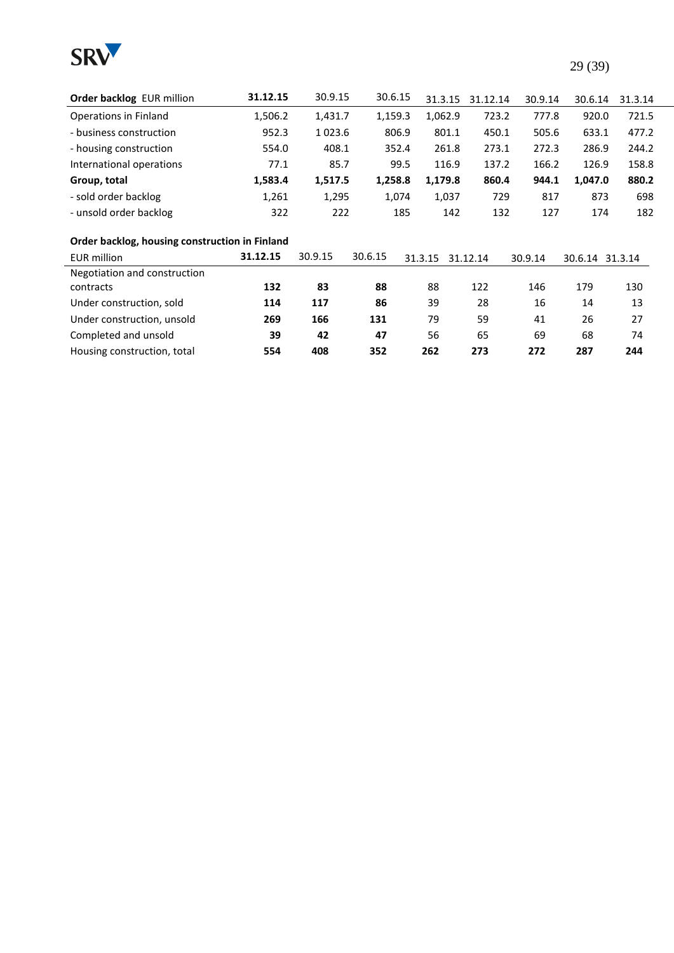

| <b>Order backlog EUR million</b> | 31.12.15 | 30.9.15 | 30.6.15 | 31.3.15 | 31.12.14 | 30.9.14 | 30.6.14 | 31.3.14 |
|----------------------------------|----------|---------|---------|---------|----------|---------|---------|---------|
| Operations in Finland            | 1,506.2  | 1.431.7 | 1.159.3 | 1.062.9 | 723.2    | 777.8   | 920.0   | 721.5   |
| - business construction          | 952.3    | 1023.6  | 806.9   | 801.1   | 450.1    | 505.6   | 633.1   | 477.2   |
| - housing construction           | 554.0    | 408.1   | 352.4   | 261.8   | 273.1    | 272.3   | 286.9   | 244.2   |
| International operations         | 77.1     | 85.7    | 99.5    | 116.9   | 137.2    | 166.2   | 126.9   | 158.8   |
| Group, total                     | 1,583.4  | 1.517.5 | 1.258.8 | 1.179.8 | 860.4    | 944.1   | 1.047.0 | 880.2   |
| - sold order backlog             | 1,261    | 1,295   | 1.074   | 1.037   | 729      | 817     | 873     | 698     |
| - unsold order backlog           | 322      | 222     | 185     | 142     | 132      | 127     | 174     | 182     |

#### **Order backlog, housing construction in Finland**

| <b>EUR million</b>           | 31.12.15 | 30.9.15 | 30.6.15 | 31.3.15 | 31.12.14 | 30.9.14 | 30.6.14 31.3.14 |     |
|------------------------------|----------|---------|---------|---------|----------|---------|-----------------|-----|
| Negotiation and construction |          |         |         |         |          |         |                 |     |
| contracts                    | 132      | 83      | 88      | 88      | 122      | 146     | 179             | 130 |
| Under construction, sold     | 114      | 117     | 86      | 39      | 28       | 16      | 14              | 13  |
| Under construction, unsold   | 269      | 166     | 131     | 79      | 59       | 41      | 26              | 27  |
| Completed and unsold         | 39       | 42      | 47      | 56      | 65       | 69      | 68              | 74  |
| Housing construction, total  | 554      | 408     | 352     | 262     | 273      | 272     | 287             | 244 |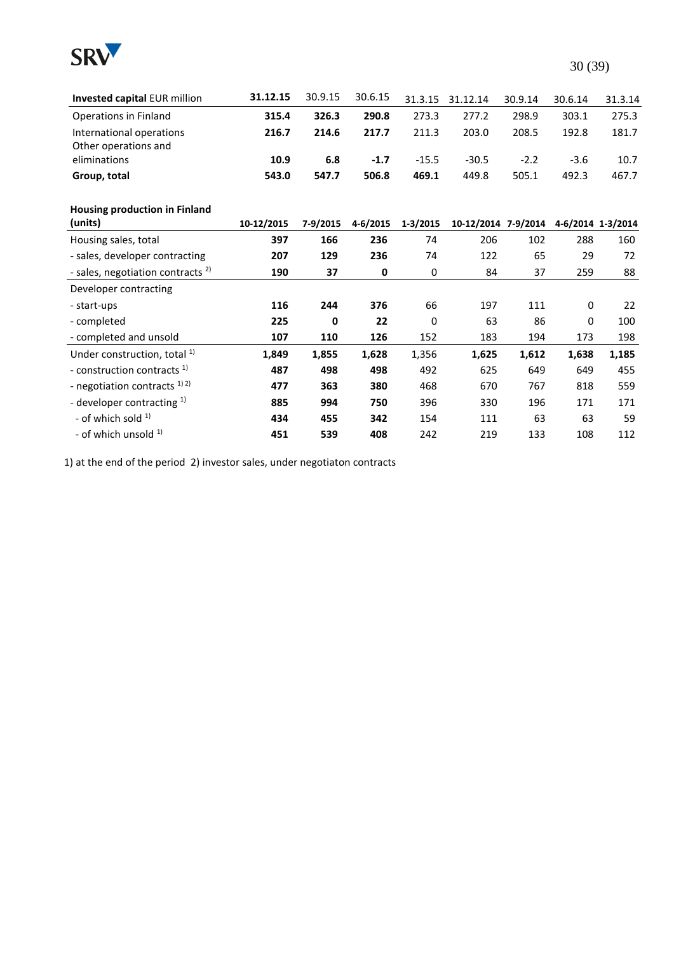

| Invested capital EUR million                 | 31.12.15   | 30.9.15  | 30.6.15  | 31.3.15      | 31.12.14            | 30.9.14 | 30.6.14     | 31.3.14           |
|----------------------------------------------|------------|----------|----------|--------------|---------------------|---------|-------------|-------------------|
| Operations in Finland                        | 315.4      | 326.3    | 290.8    | 273.3        | 277.2               | 298.9   | 303.1       | 275.3             |
| International operations                     | 216.7      | 214.6    | 217.7    | 211.3        | 203.0               | 208.5   | 192.8       | 181.7             |
| Other operations and                         |            |          |          |              |                     |         |             |                   |
| eliminations                                 | 10.9       | 6.8      | $-1.7$   | $-15.5$      | $-30.5$             | $-2.2$  | $-3.6$      | 10.7              |
| Group, total                                 | 543.0      | 547.7    | 506.8    | 469.1        | 449.8               | 505.1   | 492.3       | 467.7             |
| Housing production in Finland                |            |          |          |              |                     |         |             |                   |
| (units)                                      | 10-12/2015 | 7-9/2015 | 4-6/2015 | $1 - 3/2015$ | 10-12/2014 7-9/2014 |         |             | 4-6/2014 1-3/2014 |
| Housing sales, total                         | 397        | 166      | 236      | 74           | 206                 | 102     | 288         | 160               |
| - sales, developer contracting               | 207        | 129      | 236      | 74           | 122                 | 65      | 29          | 72                |
| - sales, negotiation contracts <sup>2)</sup> | 190        | 37       | 0        | $\mathbf 0$  | 84                  | 37      | 259         | 88                |
| Developer contracting                        |            |          |          |              |                     |         |             |                   |
| - start-ups                                  | 116        | 244      | 376      | 66           | 197                 | 111     | 0           | 22                |
| - completed                                  | 225        | 0        | 22       | $\mathbf 0$  | 63                  | 86      | $\mathbf 0$ | 100               |
| - completed and unsold                       | 107        | 110      | 126      | 152          | 183                 | 194     | 173         | 198               |
| Under construction, total <sup>1)</sup>      | 1,849      | 1,855    | 1,628    | 1,356        | 1,625               | 1,612   | 1,638       | 1,185             |
| - construction contracts <sup>1)</sup>       | 487        | 498      | 498      | 492          | 625                 | 649     | 649         | 455               |
| - negotiation contracts $^{1/2}$             | 477        | 363      | 380      | 468          | 670                 | 767     | 818         | 559               |
| - developer contracting $1$ )                | 885        | 994      | 750      | 396          | 330                 | 196     | 171         | 171               |
| - of which sold $1$ )                        | 434        | 455      | 342      | 154          | 111                 | 63      | 63          | 59                |
| - of which unsold $1$                        | 451        | 539      | 408      | 242          | 219                 | 133     | 108         | 112               |

1) at the end of the period 2) investor sales, under negotiaton contracts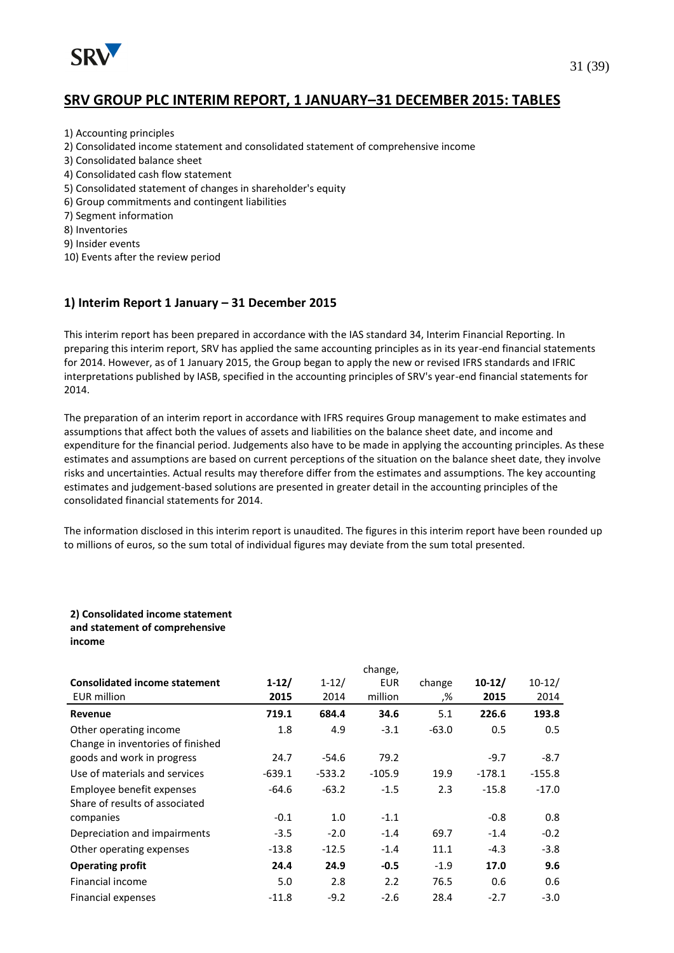

- 1) Accounting principles
- 2) Consolidated income statement and consolidated statement of comprehensive income
- 3) Consolidated balance sheet
- 4) Consolidated cash flow statement
- 5) Consolidated statement of changes in shareholder's equity
- 6) Group commitments and contingent liabilities
- 7) Segment information
- 8) Inventories
- 9) Insider events
- 10) Events after the review period

#### **1) Interim Report 1 January – 31 December 2015**

This interim report has been prepared in accordance with the IAS standard 34, Interim Financial Reporting. In preparing this interim report, SRV has applied the same accounting principles as in its year-end financial statements for 2014. However, as of 1 January 2015, the Group began to apply the new or revised IFRS standards and IFRIC interpretations published by IASB, specified in the accounting principles of SRV's year-end financial statements for 2014.

The preparation of an interim report in accordance with IFRS requires Group management to make estimates and assumptions that affect both the values of assets and liabilities on the balance sheet date, and income and expenditure for the financial period. Judgements also have to be made in applying the accounting principles. As these estimates and assumptions are based on current perceptions of the situation on the balance sheet date, they involve risks and uncertainties. Actual results may therefore differ from the estimates and assumptions. The key accounting estimates and judgement-based solutions are presented in greater detail in the accounting principles of the consolidated financial statements for 2014.

The information disclosed in this interim report is unaudited. The figures in this interim report have been rounded up to millions of euros, so the sum total of individual figures may deviate from the sum total presented.

#### **2) Consolidated income statement and statement of comprehensive income**

|                                      |          |           | change,    |         |          |          |
|--------------------------------------|----------|-----------|------------|---------|----------|----------|
| <b>Consolidated income statement</b> | $1-12/$  | $1 - 12/$ | <b>EUR</b> | change  | $10-12/$ | $10-12/$ |
| <b>EUR million</b>                   | 2015     | 2014      | million    | ,%      | 2015     | 2014     |
| Revenue                              | 719.1    | 684.4     | 34.6       | 5.1     | 226.6    | 193.8    |
| Other operating income               | 1.8      | 4.9       | $-3.1$     | $-63.0$ | 0.5      | 0.5      |
| Change in inventories of finished    |          |           |            |         |          |          |
| goods and work in progress           | 24.7     | $-54.6$   | 79.2       |         | $-9.7$   | $-8.7$   |
| Use of materials and services        | $-639.1$ | $-533.2$  | $-105.9$   | 19.9    | $-178.1$ | $-155.8$ |
| Employee benefit expenses            | -64.6    | $-63.2$   | $-1.5$     | 2.3     | $-15.8$  | $-17.0$  |
| Share of results of associated       |          |           |            |         |          |          |
| companies                            | $-0.1$   | 1.0       | $-1.1$     |         | $-0.8$   | 0.8      |
| Depreciation and impairments         | $-3.5$   | $-2.0$    | $-1.4$     | 69.7    | $-1.4$   | $-0.2$   |
| Other operating expenses             | $-13.8$  | $-12.5$   | $-1.4$     | 11.1    | $-4.3$   | $-3.8$   |
| <b>Operating profit</b>              | 24.4     | 24.9      | $-0.5$     | $-1.9$  | 17.0     | 9.6      |
| Financial income                     | 5.0      | 2.8       | 2.2        | 76.5    | 0.6      | 0.6      |
| Financial expenses                   | $-11.8$  | $-9.2$    | $-2.6$     | 28.4    | $-2.7$   | $-3.0$   |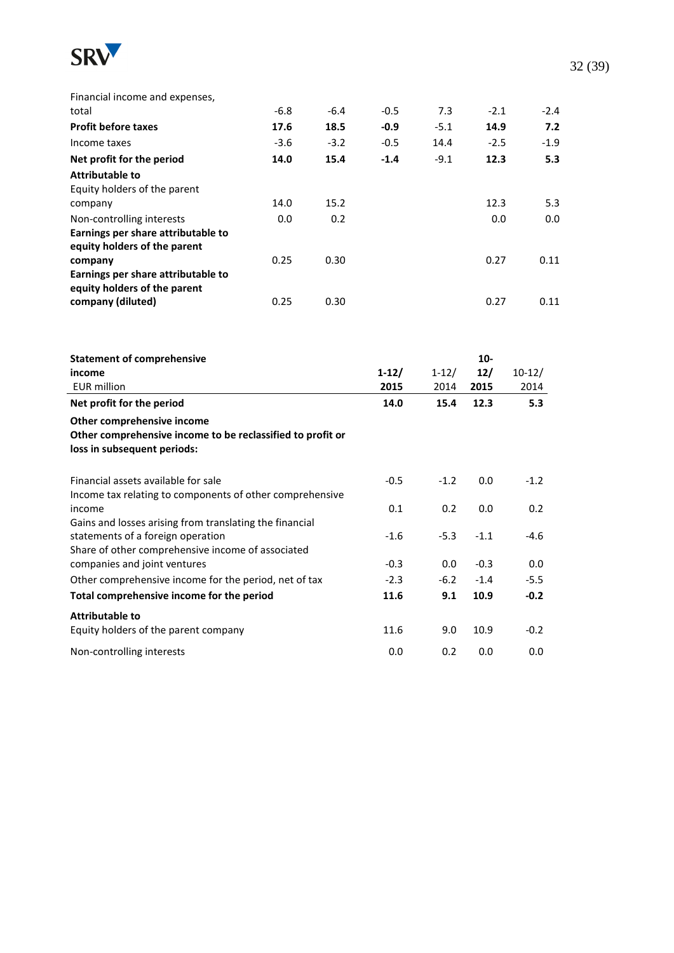

**Attributable to**

| Financial income and expenses,                                                                                                                    |        |        |                 |                   |                        |                  |
|---------------------------------------------------------------------------------------------------------------------------------------------------|--------|--------|-----------------|-------------------|------------------------|------------------|
| total                                                                                                                                             | $-6.8$ | $-6.4$ | $-0.5$          | 7.3               | $-2.1$                 | $-2.4$           |
| <b>Profit before taxes</b>                                                                                                                        | 17.6   | 18.5   | $-0.9$          | $-5.1$            | 14.9                   | 7.2              |
| Income taxes                                                                                                                                      | $-3.6$ | $-3.2$ | $-0.5$          | 14.4              | $-2.5$                 | $-1.9$           |
| Net profit for the period                                                                                                                         | 14.0   | 15.4   | $-1.4$          | $-9.1$            | 12.3                   | 5.3              |
| <b>Attributable to</b><br>Equity holders of the parent                                                                                            |        |        |                 |                   |                        |                  |
| company                                                                                                                                           | 14.0   | 15.2   |                 |                   | 12.3                   | 5.3              |
| Non-controlling interests<br>Earnings per share attributable to<br>equity holders of the parent                                                   | 0.0    | 0.2    |                 |                   | 0.0                    | 0.0              |
| company                                                                                                                                           | 0.25   | 0.30   |                 |                   | 0.27                   | 0.11             |
| Earnings per share attributable to<br>equity holders of the parent                                                                                |        |        |                 |                   |                        |                  |
| company (diluted)                                                                                                                                 | 0.25   | 0.30   |                 |                   | 0.27                   | 0.11             |
| <b>Statement of comprehensive</b><br>income<br><b>EUR</b> million                                                                                 |        |        | $1-12/$<br>2015 | $1 - 12/$<br>2014 | $10-$<br>$12/$<br>2015 | $10-12/$<br>2014 |
| Net profit for the period                                                                                                                         |        |        | 14.0            | 15.4              | 12.3                   | 5.3              |
| Other comprehensive income<br>Other comprehensive income to be reclassified to profit or<br>loss in subsequent periods:                           |        |        |                 |                   |                        |                  |
| Financial assets available for sale                                                                                                               |        |        | $-0.5$          | $-1.2$            | 0.0                    | $-1.2$           |
| Income tax relating to components of other comprehensive<br>income                                                                                |        |        | 0.1             | 0.2               | 0.0                    | 0.2              |
| Gains and losses arising from translating the financial<br>statements of a foreign operation<br>Share of other comprehensive income of associated |        |        | $-1.6$          | $-5.3$            | $-1.1$                 | $-4.6$           |
| companies and joint ventures                                                                                                                      |        |        | $-0.3$          | 0.0               | $-0.3$                 | 0.0              |

Other comprehensive income for the period, net of tax  $-2.3$   $-6.2$   $-1.4$   $-5.5$ **Total comprehensive income for the period 11.6 9.1 10.9 -0.2**

Equity holders of the parent company 11.6 9.0 10.9 -0.2 Non-controlling interests 0.0 0.2 0.0 0.0 32 (39)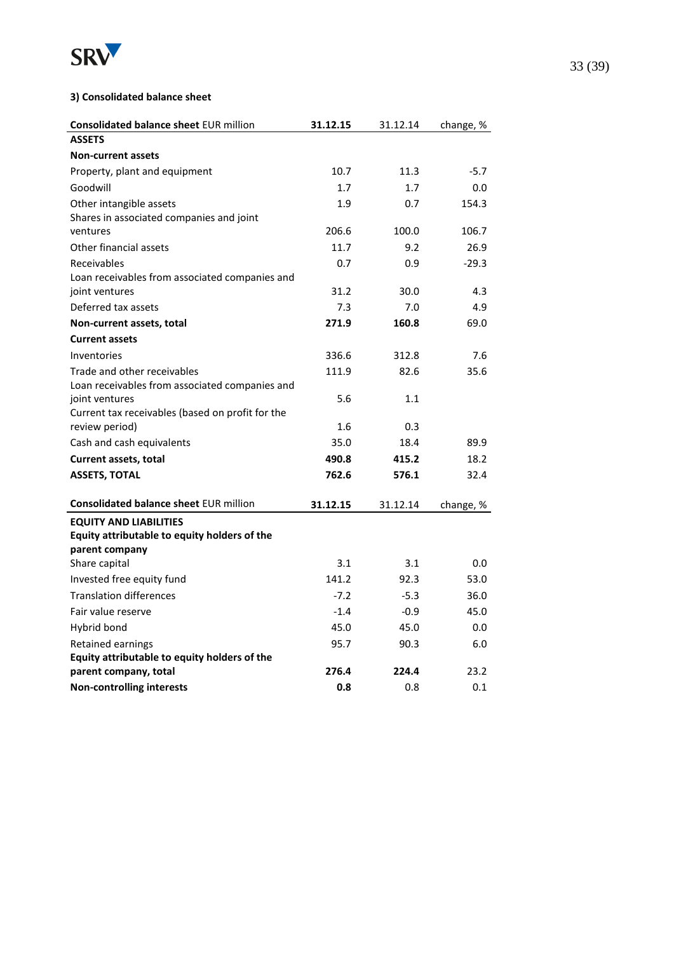

#### **3) Consolidated balance sheet**

| <b>Consolidated balance sheet EUR million</b>    | 31.12.15 | 31.12.14 | change, % |
|--------------------------------------------------|----------|----------|-----------|
| <b>ASSETS</b>                                    |          |          |           |
| <b>Non-current assets</b>                        |          |          |           |
| Property, plant and equipment                    | 10.7     | 11.3     | $-5.7$    |
| Goodwill                                         | 1.7      | 1.7      | 0.0       |
| Other intangible assets                          | 1.9      | 0.7      | 154.3     |
| Shares in associated companies and joint         |          |          |           |
| ventures                                         | 206.6    | 100.0    | 106.7     |
| Other financial assets                           | 11.7     | 9.2      | 26.9      |
| Receivables                                      | 0.7      | 0.9      | $-29.3$   |
| Loan receivables from associated companies and   |          |          |           |
| joint ventures                                   | 31.2     | 30.0     | 4.3       |
| Deferred tax assets                              | 7.3      | 7.0      | 4.9       |
| Non-current assets, total                        | 271.9    | 160.8    | 69.0      |
| <b>Current assets</b>                            |          |          |           |
| Inventories                                      | 336.6    | 312.8    | 7.6       |
| Trade and other receivables                      | 111.9    | 82.6     | 35.6      |
| Loan receivables from associated companies and   |          |          |           |
| joint ventures                                   | 5.6      | 1.1      |           |
| Current tax receivables (based on profit for the |          |          |           |
| review period)                                   | 1.6      | 0.3      |           |
| Cash and cash equivalents                        | 35.0     | 18.4     | 89.9      |
| Current assets, total                            | 490.8    | 415.2    | 18.2      |
| <b>ASSETS, TOTAL</b>                             | 762.6    | 576.1    | 32.4      |
| <b>Consolidated balance sheet EUR million</b>    | 31.12.15 | 31.12.14 | change, % |
| <b>EQUITY AND LIABILITIES</b>                    |          |          |           |
| Equity attributable to equity holders of the     |          |          |           |
| parent company                                   |          |          |           |
| Share capital                                    | 3.1      | 3.1      | 0.0       |
| Invested free equity fund                        | 141.2    | 92.3     | 53.0      |
| <b>Translation differences</b>                   | $-7.2$   | $-5.3$   | 36.0      |
| Fair value reserve                               | $-1.4$   | $-0.9$   | 45.0      |
| Hybrid bond                                      | 45.0     | 45.0     | 0.0       |
| <b>Retained earnings</b>                         | 95.7     | 90.3     | 6.0       |
| Equity attributable to equity holders of the     |          |          |           |
| parent company, total                            | 276.4    | 224.4    | 23.2      |
| <b>Non-controlling interests</b>                 | 0.8      | 0.8      | 0.1       |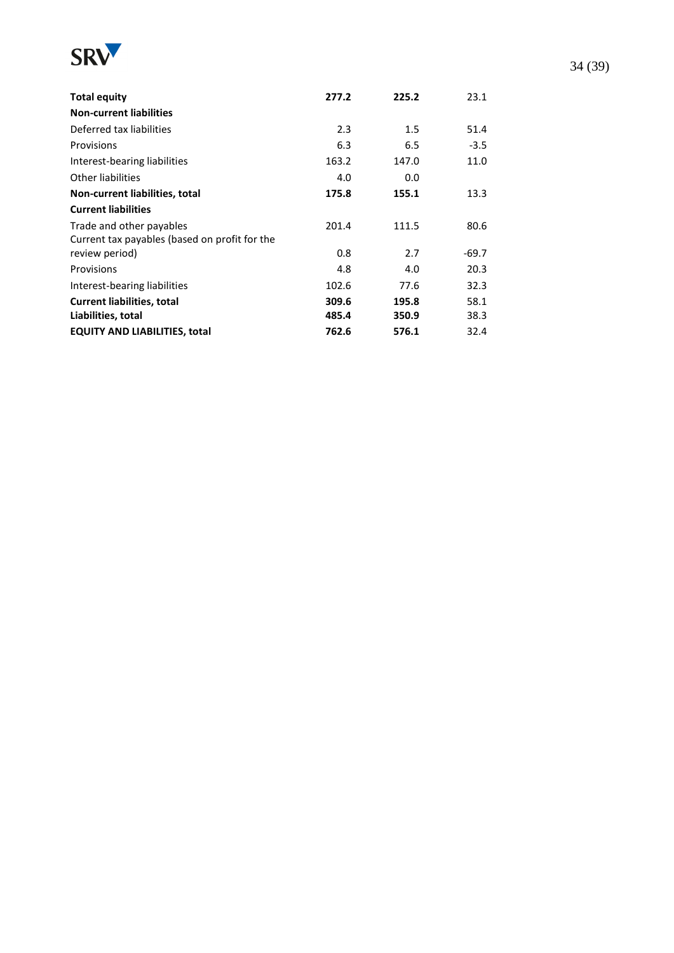

| <b>Total equity</b>                           | 277.2 | 225.2 | 23.1    |
|-----------------------------------------------|-------|-------|---------|
| <b>Non-current liabilities</b>                |       |       |         |
| Deferred tax liabilities                      | 2.3   | 1.5   | 51.4    |
| Provisions                                    | 6.3   | 6.5   | $-3.5$  |
| Interest-bearing liabilities                  | 163.2 | 147.0 | 11.0    |
| Other liabilities                             | 4.0   | 0.0   |         |
| Non-current liabilities, total                | 175.8 | 155.1 | 13.3    |
| <b>Current liabilities</b>                    |       |       |         |
| Trade and other payables                      | 201.4 | 111.5 | 80.6    |
| Current tax payables (based on profit for the |       |       |         |
| review period)                                | 0.8   | 2.7   | $-69.7$ |
| Provisions                                    | 4.8   | 4.0   | 20.3    |
| Interest-bearing liabilities                  | 102.6 | 77.6  | 32.3    |
| <b>Current liabilities, total</b>             | 309.6 | 195.8 | 58.1    |
| Liabilities, total                            | 485.4 | 350.9 | 38.3    |
| <b>EQUITY AND LIABILITIES, total</b>          | 762.6 | 576.1 | 32.4    |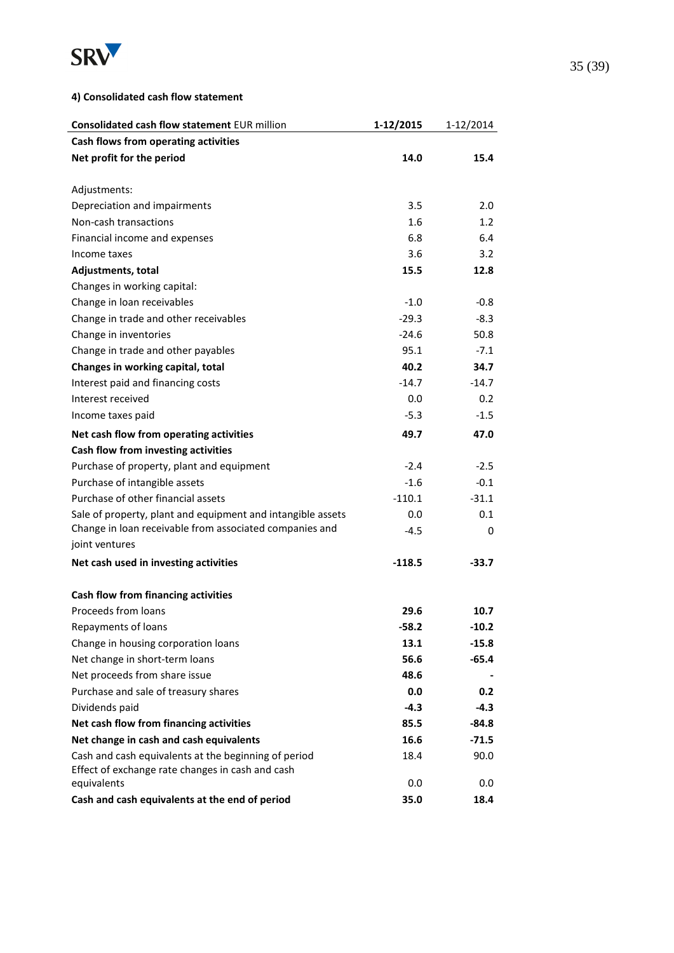

#### **4) Consolidated cash flow statement**

| Consolidated cash flow statement EUR million                | 1-12/2015 | 1-12/2014 |
|-------------------------------------------------------------|-----------|-----------|
| Cash flows from operating activities                        |           |           |
| Net profit for the period                                   | 14.0      | 15.4      |
|                                                             |           |           |
| Adjustments:                                                |           |           |
| Depreciation and impairments                                | 3.5       | 2.0       |
| Non-cash transactions                                       | 1.6       | 1.2       |
| Financial income and expenses                               | 6.8       | 6.4       |
| Income taxes                                                | 3.6       | 3.2       |
| Adjustments, total                                          | 15.5      | 12.8      |
| Changes in working capital:                                 |           |           |
| Change in loan receivables                                  | $-1.0$    | $-0.8$    |
| Change in trade and other receivables                       | $-29.3$   | $-8.3$    |
| Change in inventories                                       | $-24.6$   | 50.8      |
| Change in trade and other payables                          | 95.1      | $-7.1$    |
| Changes in working capital, total                           | 40.2      | 34.7      |
| Interest paid and financing costs                           | $-14.7$   | $-14.7$   |
| Interest received                                           | 0.0       | 0.2       |
| Income taxes paid                                           | $-5.3$    | $-1.5$    |
| Net cash flow from operating activities                     | 49.7      | 47.0      |
| Cash flow from investing activities                         |           |           |
| Purchase of property, plant and equipment                   | $-2.4$    | $-2.5$    |
| Purchase of intangible assets                               | $-1.6$    | $-0.1$    |
| Purchase of other financial assets                          | $-110.1$  | $-31.1$   |
| Sale of property, plant and equipment and intangible assets | 0.0       | 0.1       |
| Change in loan receivable from associated companies and     | $-4.5$    | 0         |
| joint ventures                                              |           |           |
| Net cash used in investing activities                       | $-118.5$  | -33.7     |
| Cash flow from financing activities                         |           |           |
| Proceeds from loans                                         | 29.6      | 10.7      |
| Repayments of loans                                         | $-58.2$   | $-10.2$   |
| Change in housing corporation loans                         | 13.1      | $-15.8$   |
| Net change in short-term loans                              | 56.6      | $-65.4$   |
| Net proceeds from share issue                               | 48.6      |           |
| Purchase and sale of treasury shares                        | 0.0       | 0.2       |
| Dividends paid                                              | $-4.3$    | $-4.3$    |
| Net cash flow from financing activities                     | 85.5      | $-84.8$   |
| Net change in cash and cash equivalents                     | 16.6      | $-71.5$   |
| Cash and cash equivalents at the beginning of period        | 18.4      | 90.0      |
| Effect of exchange rate changes in cash and cash            |           |           |
| equivalents                                                 | 0.0       | 0.0       |
| Cash and cash equivalents at the end of period              | 35.0      | 18.4      |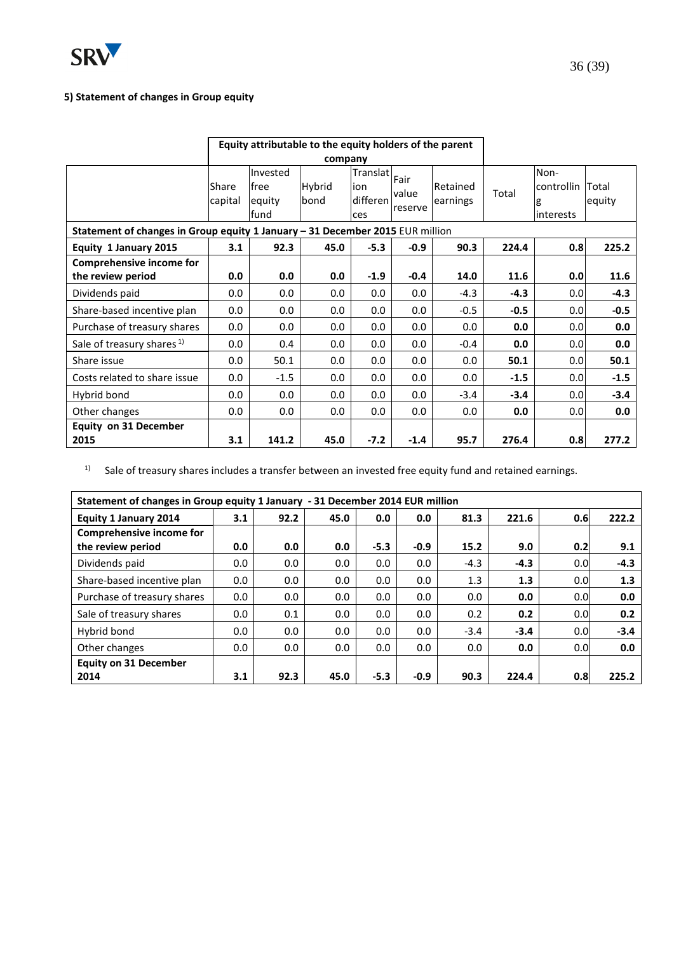

### **5) Statement of changes in Group equity**

|                                                                               | Equity attributable to the equity holders of the parent |                                      |                |                                           |                          |                      |        |                                       |                        |
|-------------------------------------------------------------------------------|---------------------------------------------------------|--------------------------------------|----------------|-------------------------------------------|--------------------------|----------------------|--------|---------------------------------------|------------------------|
|                                                                               |                                                         |                                      | company        |                                           |                          |                      |        |                                       |                        |
|                                                                               | Share<br>capital                                        | Invested<br>free<br>equity<br>lfund. | Hybrid<br>bond | <b>Translat</b><br>ion<br>differen<br>ces | Fair<br>value<br>reserve | Retained<br>earnings | Total  | Non-<br>controllin<br>g<br>linterests | <b>Total</b><br>equity |
| Statement of changes in Group equity 1 January - 31 December 2015 EUR million |                                                         |                                      |                |                                           |                          |                      |        |                                       |                        |
| Equity 1 January 2015                                                         | 3.1                                                     | 92.3                                 | 45.0           | $-5.3$                                    | $-0.9$                   | 90.3                 | 224.4  | 0.8                                   | 225.2                  |
| <b>Comprehensive income for</b><br>the review period                          | 0.0                                                     | 0.0                                  | 0.0            | $-1.9$                                    | $-0.4$                   | 14.0                 | 11.6   | 0.0                                   | 11.6                   |
| Dividends paid                                                                | 0.0                                                     | 0.0                                  | 0.0            | 0.0                                       | 0.0                      | $-4.3$               | $-4.3$ | 0.0                                   | $-4.3$                 |
| Share-based incentive plan                                                    | 0.0                                                     | 0.0                                  | 0.0            | 0.0                                       | 0.0                      | $-0.5$               | $-0.5$ | 0.0                                   | $-0.5$                 |
| Purchase of treasury shares                                                   | 0.0                                                     | 0.0                                  | 0.0            | 0.0                                       | 0.0                      | 0.0                  | 0.0    | 0.0 <sub>l</sub>                      | 0.0                    |
| Sale of treasury shares <sup>1)</sup>                                         | 0.0                                                     | 0.4                                  | 0.0            | 0.0                                       | 0.0                      | $-0.4$               | 0.0    | 0.0 <sub>l</sub>                      | 0.0                    |
| Share issue                                                                   | 0.0                                                     | 50.1                                 | 0.0            | 0.0                                       | 0.0                      | 0.0                  | 50.1   | 0.0 <sub>l</sub>                      | 50.1                   |
| Costs related to share issue                                                  | 0.0                                                     | $-1.5$                               | 0.0            | 0.0                                       | 0.0                      | 0.0                  | $-1.5$ | 0.0                                   | $-1.5$                 |
| Hybrid bond                                                                   | 0.0                                                     | 0.0                                  | 0.0            | 0.0                                       | 0.0                      | $-3.4$               | $-3.4$ | 0.0                                   | $-3.4$                 |
| Other changes                                                                 | 0.0                                                     | 0.0                                  | 0.0            | 0.0                                       | 0.0                      | 0.0                  | 0.0    | 0.0 <sub>l</sub>                      | 0.0                    |
| <b>Equity on 31 December</b><br>2015                                          | 3.1                                                     | 141.2                                | 45.0           | $-7.2$                                    | $-1.4$                   | 95.7                 | 276.4  | 0.8                                   | 277.2                  |

 $1)$  Sale of treasury shares includes a transfer between an invested free equity fund and retained earnings.

| Statement of changes in Group equity 1 January - 31 December 2014 EUR million |     |      |      |        |        |        |        |     |        |
|-------------------------------------------------------------------------------|-----|------|------|--------|--------|--------|--------|-----|--------|
| <b>Equity 1 January 2014</b>                                                  | 3.1 | 92.2 | 45.0 | 0.0    | 0.0    | 81.3   | 221.6  | 0.6 | 222.2  |
| Comprehensive income for                                                      |     |      |      |        |        |        |        |     |        |
| the review period                                                             | 0.0 | 0.0  | 0.0  | $-5.3$ | $-0.9$ | 15.2   | 9.0    | 0.2 | 9.1    |
| Dividends paid                                                                | 0.0 | 0.0  | 0.0  | 0.0    | 0.0    | $-4.3$ | $-4.3$ | 0.0 | $-4.3$ |
| Share-based incentive plan                                                    | 0.0 | 0.0  | 0.0  | 0.0    | 0.0    | 1.3    | 1.3    | 0.0 | 1.3    |
| Purchase of treasury shares                                                   | 0.0 | 0.0  | 0.0  | 0.0    | 0.0    | 0.0    | 0.0    | 0.0 | 0.0    |
| Sale of treasury shares                                                       | 0.0 | 0.1  | 0.0  | 0.0    | 0.0    | 0.2    | 0.2    | 0.0 | 0.2    |
| Hybrid bond                                                                   | 0.0 | 0.0  | 0.0  | 0.0    | 0.0    | $-3.4$ | $-3.4$ | 0.0 | $-3.4$ |
| Other changes                                                                 | 0.0 | 0.0  | 0.0  | 0.0    | 0.0    | 0.0    | 0.0    | 0.0 | 0.0    |
| <b>Equity on 31 December</b>                                                  |     |      |      |        |        |        |        |     |        |
| 2014                                                                          | 3.1 | 92.3 | 45.0 | $-5.3$ | $-0.9$ | 90.3   | 224.4  | 0.8 | 225.2  |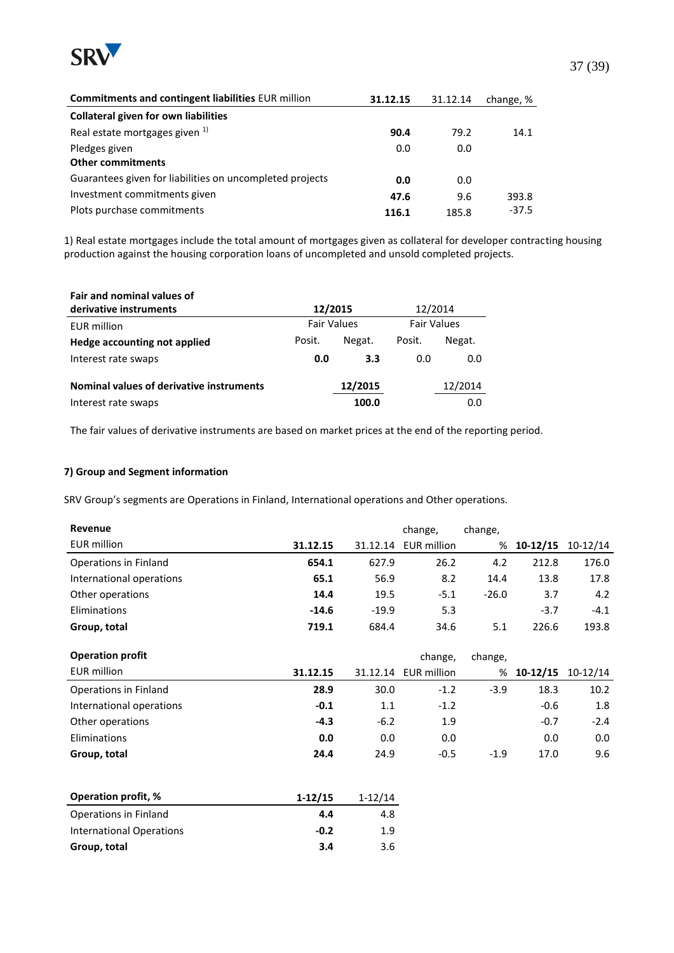

| Commitments and contingent liabilities EUR million       | 31.12.15 | 31.12.14 | change, % |
|----------------------------------------------------------|----------|----------|-----------|
| <b>Collateral given for own liabilities</b>              |          |          |           |
| Real estate mortgages given 1)                           | 90.4     | 79.2     | 14.1      |
| Pledges given                                            | 0.0      | 0.0      |           |
| <b>Other commitments</b>                                 |          |          |           |
| Guarantees given for liabilities on uncompleted projects | 0.0      | 0.0      |           |
| Investment commitments given                             | 47.6     | 9.6      | 393.8     |
| Plots purchase commitments                               | 116.1    | 185.8    | $-37.5$   |

1) Real estate mortgages include the total amount of mortgages given as collateral for developer contracting housing production against the housing corporation loans of uncompleted and unsold completed projects.

| Fair and nominal values of               |                    |         |                    |         |
|------------------------------------------|--------------------|---------|--------------------|---------|
| derivative instruments                   | 12/2015            |         | 12/2014            |         |
| <b>EUR</b> million                       | <b>Fair Values</b> |         | <b>Fair Values</b> |         |
| Hedge accounting not applied             | Posit.             | Negat.  | Posit.             | Negat.  |
| Interest rate swaps                      | 0.0                | 3.3     | 0.0                | 0.0     |
| Nominal values of derivative instruments |                    | 12/2015 |                    | 12/2014 |
| Interest rate swaps                      |                    | 100.0   |                    | 0.0     |

The fair values of derivative instruments are based on market prices at the end of the reporting period.

#### **7) Group and Segment information**

SRV Group's segments are Operations in Finland, International operations and Other operations.

**Group, total 3.4** 3.6

| Revenue                         |           |           | change,     | change, |            |            |
|---------------------------------|-----------|-----------|-------------|---------|------------|------------|
| <b>EUR million</b>              | 31.12.15  | 31.12.14  | EUR million | %       | $10-12/15$ | $10-12/14$ |
| Operations in Finland           | 654.1     | 627.9     | 26.2        | 4.2     | 212.8      | 176.0      |
| International operations        | 65.1      | 56.9      | 8.2         | 14.4    | 13.8       | 17.8       |
| Other operations                | 14.4      | 19.5      | $-5.1$      | $-26.0$ | 3.7        | 4.2        |
| Eliminations                    | $-14.6$   | $-19.9$   | 5.3         |         | $-3.7$     | -4.1       |
| Group, total                    | 719.1     | 684.4     | 34.6        | 5.1     | 226.6      | 193.8      |
|                                 |           |           |             |         |            |            |
| <b>Operation profit</b>         |           |           | change,     | change, |            |            |
| <b>EUR million</b>              | 31.12.15  | 31.12.14  | EUR million | %       | $10-12/15$ | $10-12/14$ |
| Operations in Finland           | 28.9      | 30.0      | $-1.2$      | $-3.9$  | 18.3       | 10.2       |
| International operations        | $-0.1$    | 1.1       | $-1.2$      |         | $-0.6$     | 1.8        |
| Other operations                | $-4.3$    | $-6.2$    | 1.9         |         | $-0.7$     | $-2.4$     |
| Eliminations                    | 0.0       | 0.0       | 0.0         |         | 0.0        | 0.0        |
| Group, total                    | 24.4      | 24.9      | $-0.5$      | $-1.9$  | 17.0       | 9.6        |
|                                 |           |           |             |         |            |            |
|                                 |           |           |             |         |            |            |
| Operation profit, %             | $1-12/15$ | $1-12/14$ |             |         |            |            |
| Operations in Finland           | 4.4       | 4.8       |             |         |            |            |
| <b>International Operations</b> | $-0.2$    | 1.9       |             |         |            |            |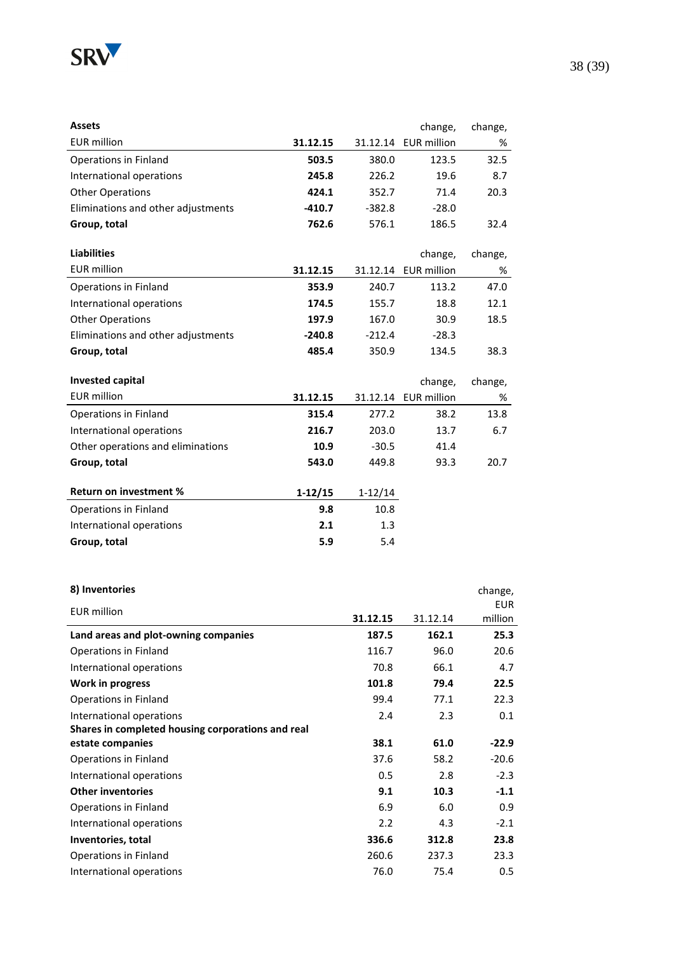

| <b>Assets</b>                      |          |          | change,     | change, |
|------------------------------------|----------|----------|-------------|---------|
| <b>EUR million</b>                 | 31.12.15 | 31.12.14 | EUR million | %       |
| Operations in Finland              | 503.5    | 380.0    | 123.5       | 32.5    |
| International operations           | 245.8    | 226.2    | 19.6        | 8.7     |
| <b>Other Operations</b>            | 424.1    | 352.7    | 71.4        | 20.3    |
| Eliminations and other adjustments | $-410.7$ | $-382.8$ | $-28.0$     |         |
| Group, total                       | 762.6    | 576.1    | 186.5       | 32.4    |

| <b>Liabilities</b>                 |          |          | change,              | change, |
|------------------------------------|----------|----------|----------------------|---------|
| EUR million                        | 31.12.15 |          | 31.12.14 EUR million | %       |
| Operations in Finland              | 353.9    | 240.7    | 113.2                | 47.0    |
| International operations           | 174.5    | 155.7    | 18.8                 | 12.1    |
| <b>Other Operations</b>            | 197.9    | 167.0    | 30.9                 | 18.5    |
| Eliminations and other adjustments | $-240.8$ | $-212.4$ | $-28.3$              |         |
| Group, total                       | 485.4    | 350.9    | 134.5                | 38.3    |
| Invested capital                   |          |          | change,              | change, |

| 31.12.15  |           |      | %                    |
|-----------|-----------|------|----------------------|
| 315.4     | 277.2     | 38.2 | 13.8                 |
| 216.7     | 203.0     | 13.7 | 6.7                  |
| 10.9      | $-30.5$   | 41.4 |                      |
| 543.0     | 449.8     | 93.3 | 20.7                 |
|           |           |      |                      |
| $1-12/15$ | $1-12/14$ |      |                      |
| 9.8       | 10.8      |      |                      |
| 2.1       | 1.3       |      |                      |
| 5.9       | 5.4       |      |                      |
|           |           |      | 31.12.14 EUR million |

| 8) Inventories                                    |          |          | change,    |
|---------------------------------------------------|----------|----------|------------|
| <b>EUR</b> million                                |          |          | <b>EUR</b> |
|                                                   | 31.12.15 | 31.12.14 | million    |
| Land areas and plot-owning companies              | 187.5    | 162.1    | 25.3       |
| Operations in Finland                             | 116.7    | 96.0     | 20.6       |
| International operations                          | 70.8     | 66.1     | 4.7        |
| Work in progress                                  | 101.8    | 79.4     | 22.5       |
| Operations in Finland                             | 99.4     | 77.1     | 22.3       |
| International operations                          | 2.4      | 2.3      | 0.1        |
| Shares in completed housing corporations and real |          |          |            |
| estate companies                                  | 38.1     | 61.0     | $-22.9$    |
| Operations in Finland                             | 37.6     | 58.2     | $-20.6$    |
| International operations                          | 0.5      | 2.8      | $-2.3$     |
| <b>Other inventories</b>                          | 9.1      | 10.3     | $-1.1$     |
| Operations in Finland                             | 6.9      | 6.0      | 0.9        |
| International operations                          | 2.2      | 4.3      | $-2.1$     |
| Inventories, total                                | 336.6    | 312.8    | 23.8       |
| Operations in Finland                             | 260.6    | 237.3    | 23.3       |
| International operations                          | 76.0     | 75.4     | 0.5        |